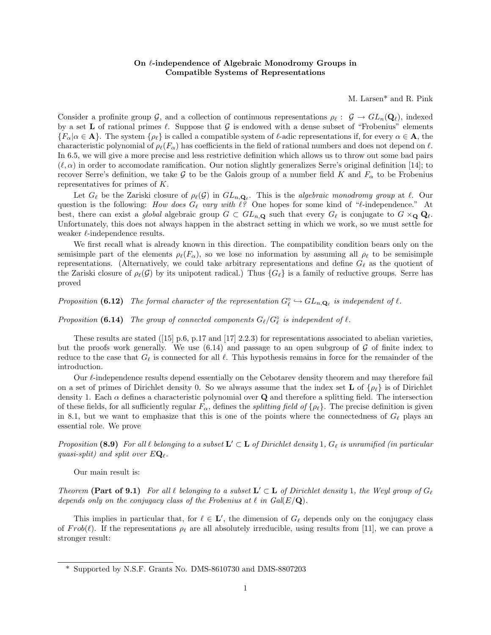# On  $\ell$ -independence of Algebraic Monodromy Groups in Compatible Systems of Representations

M. Larsen\* and R. Pink

Consider a profinite group G, and a collection of continuous representations  $\rho_\ell : \mathcal{G} \to GL_n(\mathbf{Q}_\ell)$ , indexed by a set L of rational primes  $\ell$ . Suppose that G is endowed with a dense subset of "Frobenius" elements  $\{F_\alpha | \alpha \in \mathbf{A}\}\.$  The system  $\{\rho_\ell\}$  is called a compatible system of  $\ell$ -adic representations if, for every  $\alpha \in \mathbf{A}$ , the characteristic polynomial of  $\rho_{\ell}(F_{\alpha})$  has coefficients in the field of rational numbers and does not depend on  $\ell$ . In 6.5, we will give a more precise and less restrictive definition which allows us to throw out some bad pairs  $(\ell, \alpha)$  in order to accomodate ramification. Our notion slightly generalizes Serre's original definition [14]; to recover Serre's definition, we take G to be the Galois group of a number field K and  $F_{\alpha}$  to be Frobenius representatives for primes of K.

Let  $G_\ell$  be the Zariski closure of  $\rho_\ell(G)$  in  $GL_{n,\mathbf{Q}_\ell}$ . This is the *algebraic monodromy group* at  $\ell$ . Our question is the following: How does  $G_\ell$  vary with  $\ell$ ? One hopes for some kind of " $\ell$ -independence." At best, there can exist a global algebraic group  $G \subset GL_{n,\mathbf{Q}}$  such that every  $G_{\ell}$  is conjugate to  $G \times_{\mathbf{Q}} \mathbf{Q}_{\ell}$ . Unfortunately, this does not always happen in the abstract setting in which we work, so we must settle for weaker  $\ell$ -independence results.

We first recall what is already known in this direction. The compatibility condition bears only on the semisimple part of the elements  $\rho_{\ell}(F_{\alpha})$ , so we lose no information by assuming all  $\rho_{\ell}$  to be semisimple representations. (Alternatively, we could take arbitrary representations and define  $G_{\ell}$  as the quotient of the Zariski closure of  $\rho_{\ell}(\mathcal{G})$  by its unipotent radical.) Thus  $\{G_{\ell}\}\$ is a family of reductive groups. Serre has proved

Proposition (6.12) The formal character of the representation  $G_\ell^{\circ} \hookrightarrow GL_{n,\mathbf{Q}_\ell}$  is independent of  $\ell$ .

Proposition (6.14) The group of connected components  $G_{\ell}/G_{\ell}^{\circ}$  is independent of  $\ell$ .

These results are stated ([15] p.6, p.17 and [17] 2.2.3) for representations associated to abelian varieties, but the proofs work generally. We use  $(6.14)$  and passage to an open subgroup of G of finite index to reduce to the case that  $G_\ell$  is connected for all  $\ell$ . This hypothesis remains in force for the remainder of the introduction.

Our  $\ell$ -independence results depend essentially on the Cebotarev density theorem and may therefore fail on a set of primes of Dirichlet density 0. So we always assume that the index set **L** of  $\{\rho_\ell\}$  is of Dirichlet density 1. Each  $\alpha$  defines a characteristic polynomial over Q and therefore a splitting field. The intersection of these fields, for all sufficiently regular  $F_{\alpha}$ , defines the *splitting field of*  $\{\rho_{\ell}\}\$ . The precise definition is given in 8.1, but we want to emphasize that this is one of the points where the connectedness of  $G_\ell$  plays an essential role. We prove

Proposition (8.9) For all  $\ell$  belonging to a subset  $\mathbf{L}' \subset \mathbf{L}$  of Dirichlet density 1,  $G_{\ell}$  is unramified (in particular quasi-split) and split over  $E\mathbf{Q}_\ell$ .

Our main result is:

Theorem (Part of 9.1) For all  $\ell$  belonging to a subset  $\mathbf{L}' \subset \mathbf{L}$  of Dirichlet density 1, the Weyl group of  $G_{\ell}$ depends only on the conjugacy class of the Frobenius at  $\ell$  in  $Gal(E/\mathbf{Q})$ .

This implies in particular that, for  $\ell \in \mathbf{L}'$ , the dimension of  $G_{\ell}$  depends only on the conjugacy class of  $Frob(\ell)$ . If the representations  $\rho_{\ell}$  are all absolutely irreducible, using results from [11], we can prove a stronger result:

<sup>\*</sup> Supported by N.S.F. Grants No. DMS-8610730 and DMS-8807203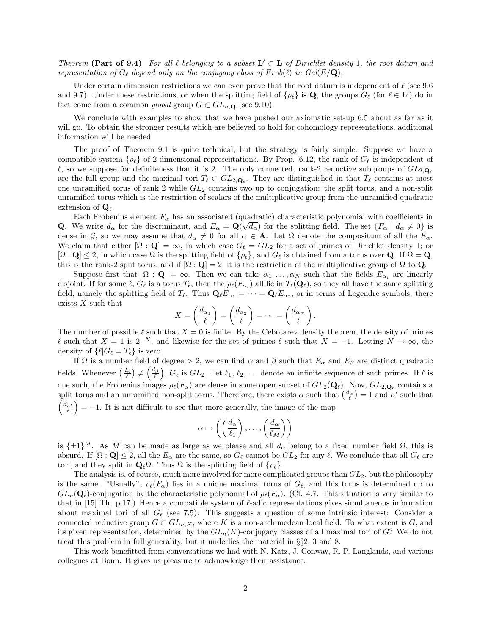Theorem (Part of 9.4) For all  $\ell$  belonging to a subset  $\mathbf{L}' \subset \mathbf{L}$  of Dirichlet density 1, the root datum and representation of  $G_\ell$  depend only on the conjugacy class of  $Frob(\ell)$  in  $Gal(E/\mathbf{Q})$ .

Under certain dimension restrictions we can even prove that the root datum is independent of  $\ell$  (see 9.6) and 9.7). Under these restrictions, or when the splitting field of  $\{\rho_\ell\}$  is Q, the groups  $G_\ell$  (for  $\ell \in L'$ ) do in fact come from a common global group  $G \subset GL_{n,\mathbf{Q}}$  (see 9.10).

We conclude with examples to show that we have pushed our axiomatic set-up 6.5 about as far as it will go. To obtain the stronger results which are believed to hold for cohomology representations, additional information will be needed.

The proof of Theorem 9.1 is quite technical, but the strategy is fairly simple. Suppose we have a compatible system { $\rho_{\ell}$ } of 2-dimensional representations. By Prop. 6.12, the rank of  $G_{\ell}$  is independent of  $\ell$ , so we suppose for definiteness that it is 2. The only connected, rank-2 reductive subgroups of  $GL_{2,\mathbf{Q}_\ell}$ are the full group and the maximal tori  $T_\ell \subset GL_{2,\mathbf{Q}_\ell}$ . They are distinguished in that  $T_\ell$  contains at most one unramified torus of rank 2 while  $GL_2$  contains two up to conjugation: the split torus, and a non-split unramified torus which is the restriction of scalars of the multiplicative group from the unramified quadratic extension of  $\mathbf{Q}_{\ell}$ .

Each Frobenius element  $F_{\alpha}$  has an associated (quadratic) characteristic polynomial with coefficients in **Q**. We write  $d_{\alpha}$  for the discriminant, and  $E_{\alpha} = \mathbf{Q}(\sqrt{d_{\alpha}})$  for the splitting field. The set  $\{F_{\alpha} \mid d_{\alpha} \neq 0\}$  is dense in G, so we may assume that  $d_{\alpha} \neq 0$  for all  $\alpha \in A$ . Let  $\Omega$  denote the compositum of all the  $E_{\alpha}$ . We claim that either  $[\Omega : \mathbf{Q}] = \infty$ , in which case  $G_{\ell} = GL_2$  for a set of primes of Dirichlet density 1; or  $[\Omega : \mathbf{Q}] \leq 2$ , in which case  $\Omega$  is the splitting field of  $\{\rho_{\ell}\}\)$ , and  $G_{\ell}$  is obtained from a torus over **Q**. If  $\Omega = \mathbf{Q}$ , this is the rank-2 split torus, and if  $[\Omega : \mathbf{Q}] = 2$ , it is the restriction of the multiplicative group of  $\Omega$  to  $\mathbf{Q}$ .

Suppose first that  $[\Omega : \mathbf{Q}] = \infty$ . Then we can take  $\alpha_1, \ldots, \alpha_N$  such that the fields  $E_{\alpha_i}$  are linearly disjoint. If for some  $\ell, G_{\ell}$  is a torus  $T_{\ell}$ , then the  $\rho_{\ell}(F_{\alpha_i})$  all lie in  $T_{\ell}(Q_{\ell}),$  so they all have the same splitting field, namely the splitting field of  $T_\ell$ . Thus  $\mathbf{Q}_\ell E_{\alpha_1} = \cdots = \mathbf{Q}_\ell E_{\alpha_2}$ , or in terms of Legendre symbols, there exists  $X$  such that

$$
X = \left(\frac{d_{\alpha_1}}{\ell}\right) = \left(\frac{d_{\alpha_2}}{\ell}\right) = \cdots = \left(\frac{d_{\alpha_N}}{\ell}\right).
$$

The number of possible  $\ell$  such that  $X = 0$  is finite. By the Cebotarev density theorem, the density of primes  $\ell$  such that  $X = 1$  is  $2^{-N}$ , and likewise for the set of primes  $\ell$  such that  $X = -1$ . Letting  $N \to \infty$ , the density of  $\{\ell | G_{\ell} = T_{\ell}\}\$ is zero.

If  $\Omega$  is a number field of degree  $> 2$ , we can find  $\alpha$  and  $\beta$  such that  $E_{\alpha}$  and  $E_{\beta}$  are distinct quadratic fields. Whenever  $\left(\frac{d_{\alpha}}{\ell}\right) \neq \left(\frac{d_{\beta}}{\ell}\right)$ ,  $G_{\ell}$  is  $GL_2$ . Let  $\ell_1, \ell_2, \ldots$  denote an infinite sequence of such primes. If  $\ell$  is one such, the Frobenius images  $\rho_\ell(F_\alpha)$  are dense in some open subset of  $GL_2(\mathbf{Q}_\ell)$ . Now,  $GL_{2,\mathbf{Q}_\ell}$  contains a split torus and an unramified non-split torus. Therefore, there exists  $\alpha$  such that  $\left(\frac{d_{\alpha}}{\ell}\right) = 1$  and  $\alpha'$  such that  $\left(\frac{d_{\alpha'}}{\ell}\right)$  = -1. It is not difficult to see that more generally, the image of the map

$$
\alpha \mapsto \left( \left( \frac{d_{\alpha}}{\ell_1} \right), \dots, \left( \frac{d_{\alpha}}{\ell_M} \right) \right)
$$

is  $\{\pm 1\}^M$ . As M can be made as large as we please and all  $d_{\alpha}$  belong to a fixed number field  $\Omega$ , this is absurd. If  $[\Omega : \mathbf{Q}] \leq 2$ , all the  $E_\alpha$  are the same, so  $G_\ell$  cannot be  $GL_2$  for any  $\ell$ . We conclude that all  $G_\ell$  are tori, and they split in  $\mathbf{Q}_{\ell}\Omega$ . Thus  $\Omega$  is the splitting field of  $\{\rho_{\ell}\}.$ 

The analysis is, of course, much more involved for more complicated groups than  $GL_2$ , but the philosophy is the same. "Usually",  $\rho_{\ell}(F_{\alpha})$  lies in a unique maximal torus of  $G_{\ell}$ , and this torus is determined up to  $GL_n(\mathbf{Q}_\ell)$ -conjugation by the characteristic polynomial of  $\rho_\ell(F_\alpha)$ . (Cf. 4.7. This situation is very similar to that in [15] Th. p.17.) Hence a compatible system of  $\ell$ -adic representations gives simultaneous information about maximal tori of all  $G_{\ell}$  (see 7.5). This suggests a question of some intrinsic interest: Consider a connected reductive group  $G \subset GL_{n,K}$ , where K is a non-archimedean local field. To what extent is G, and its given representation, determined by the  $GL_n(K)$ -conjugacy classes of all maximal tori of G? We do not treat this problem in full generality, but it underlies the material in §§2, 3 and 8.

This work benefitted from conversations we had with N. Katz, J. Conway, R. P. Langlands, and various collegues at Bonn. It gives us pleasure to acknowledge their assistance.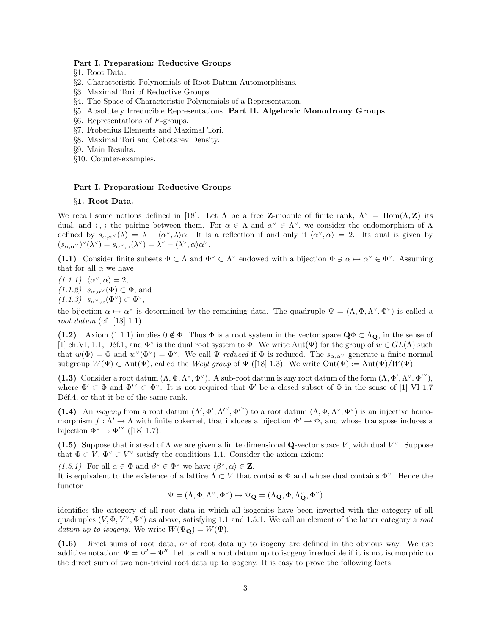### Part I. Preparation: Reductive Groups

- §1. Root Data.
- §2. Characteristic Polynomials of Root Datum Automorphisms.
- §3. Maximal Tori of Reductive Groups.
- §4. The Space of Characteristic Polynomials of a Representation.
- §5. Absolutely Irreducible Representations. Part II. Algebraic Monodromy Groups
- §6. Representations of F-groups.
- §7. Frobenius Elements and Maximal Tori.
- §8. Maximal Tori and Cebotarev Density.
- §9. Main Results.
- §10. Counter-examples.

## Part I. Preparation: Reductive Groups

## §1. Root Data.

We recall some notions defined in [18]. Let  $\Lambda$  be a free Z-module of finite rank,  $\Lambda^{\vee} = \text{Hom}(\Lambda, \mathbb{Z})$  its dual, and  $\langle , \rangle$  the pairing between them. For  $\alpha \in \Lambda$  and  $\alpha^{\vee} \in \Lambda^{\vee}$ , we consider the endomorphism of  $\Lambda$ defined by  $s_{\alpha,\alpha}(\lambda) = \lambda - \langle \alpha^\vee, \lambda \rangle \alpha$ . It is a reflection if and only if  $\langle \alpha^\vee, \alpha \rangle = 2$ . Its dual is given by  $(s_{\alpha,\alpha^{\vee}})^{\vee}(\lambda^{\vee}) = s_{\alpha^{\vee},\alpha}(\lambda^{\vee}) = \lambda^{\vee} - \langle \lambda^{\vee}, \alpha \rangle \alpha^{\vee}.$ 

(1.1) Consider finite subsets  $\Phi \subset \Lambda$  and  $\Phi^{\vee} \subset \Lambda^{\vee}$  endowed with a bijection  $\Phi \ni \alpha \mapsto \alpha^{\vee} \in \Phi^{\vee}$ . Assuming that for all  $\alpha$  we have

 $(1.1.1) \langle \alpha^{\vee}, \alpha \rangle = 2,$  $(1.1.2)$   $s_{\alpha,\alpha^{\vee}}(\Phi) \subset \Phi$ , and  $(1.1.3)$   $s_{\alpha^{\vee},\alpha}(\Phi^{\vee}) \subset \Phi^{\vee}$ ,

the bijection  $\alpha \mapsto \alpha^{\vee}$  is determined by the remaining data. The quadruple  $\Psi = (\Lambda, \Phi, \Lambda^{\vee}, \Phi^{\vee})$  is called a root datum (cf. [18] 1.1).

(1.2) Axiom (1.1.1) implies  $0 \notin \Phi$ . Thus  $\Phi$  is a root system in the vector space  $\mathbf{Q}\Phi \subset \Lambda_{\mathbf{Q}}$ , in the sense of [1] ch.VI, 1.1, Déf.1, and  $\Phi^{\vee}$  is the dual root system to  $\Phi$ . We write Aut $(\Psi)$  for the group of  $w \in GL(\Lambda)$  such that  $w(\Phi) = \Phi$  and  $w^{\vee}(\Phi^{\vee}) = \Phi^{\vee}$ . We call  $\Psi$  reduced if  $\Phi$  is reduced. The  $s_{\alpha,\alpha^{\vee}}$  generate a finite normal subgroup  $W(\Psi) \subset \text{Aut}(\Psi)$ , called the Weyl group of  $\Psi$  ([18] 1.3). We write  $\text{Out}(\Psi) := \text{Aut}(\Psi)/W(\Psi)$ .

(1.3) Consider a root datum  $(\Lambda, \Phi, \Lambda^{\vee}, \Phi^{\vee})$ . A sub-root datum is any root datum of the form  $(\Lambda, \Phi', \Lambda^{\vee}, \Phi'^{\vee})$ , where  $\Phi' \subset \Phi$  and  $\Phi'' \subset \Phi^{\vee}$ . It is not required that  $\Phi'$  be a closed subset of  $\Phi$  in the sense of [1] VI 1.7 Déf.4, or that it be of the same rank.

(1.4) An *isogeny* from a root datum  $(\Lambda', \Phi', \Lambda'^{\vee}, \Phi'^{\vee})$  to a root datum  $(\Lambda, \Phi, \Lambda^{\vee}, \Phi^{\vee})$  is an injective homomorphism  $f: \Lambda' \to \Lambda$  with finite cokernel, that induces a bijection  $\Phi' \to \Phi$ , and whose transpose induces a bijection  $\Phi^{\vee} \to \Phi^{\prime}{}^{\vee}$  ([18] 1.7).

(1.5) Suppose that instead of  $\Lambda$  we are given a finite dimensional Q-vector space V, with dual  $V^{\vee}$ . Suppose that  $\Phi \subset V$ ,  $\Phi^{\vee} \subset V^{\vee}$  satisfy the conditions 1.1. Consider the axiom axiom:

 $(1.5.1)$  For all  $\alpha \in \Phi$  and  $\beta^{\vee} \in \Phi^{\vee}$  we have  $\langle \beta^{\vee}, \alpha \rangle \in \mathbb{Z}$ .

It is equivalent to the existence of a lattice  $\Lambda \subset V$  that contains  $\Phi$  and whose dual contains  $\Phi^{\vee}$ . Hence the functor

$$
\Psi=(\Lambda,\Phi,\Lambda^\vee,\Phi^\vee)\mapsto \Psi_{\mathbf{Q}}=(\Lambda_{\mathbf{Q}},\Phi,\Lambda_{\mathbf{Q}}^\vee,\Phi^\vee)
$$

identifies the category of all root data in which all isogenies have been inverted with the category of all quadruples  $(V, \Phi, V^{\vee}, \Phi^{\vee})$  as above, satisfying 1.1 and 1.5.1. We call an element of the latter category a root datum up to isogeny. We write  $W(\Psi_{\mathbf{Q}}) = W(\Psi)$ .

(1.6) Direct sums of root data, or of root data up to isogeny are defined in the obvious way. We use additive notation:  $\Psi = \Psi' + \Psi''$ . Let us call a root datum up to isogeny irreducible if it is not isomorphic to the direct sum of two non-trivial root data up to isogeny. It is easy to prove the following facts: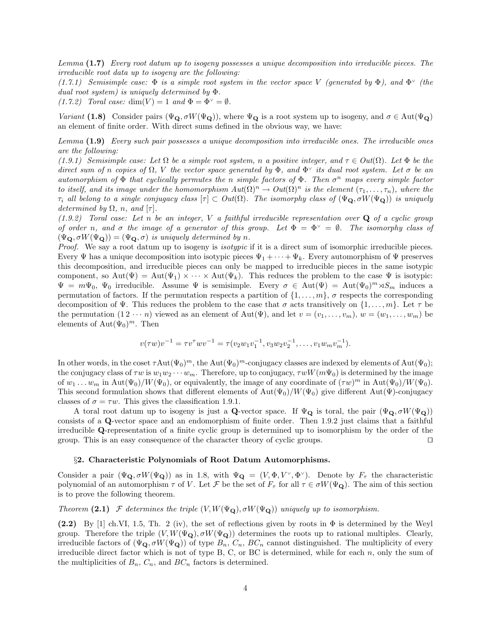Lemma (1.7) Every root datum up to isogeny possesses a unique decomposition into irreducible pieces. The irreducible root data up to isogeny are the following:

(1.7.1) Semisimple case:  $\Phi$  is a simple root system in the vector space V (generated by  $\Phi$ ), and  $\Phi^{\vee}$  (the dual root system) is uniquely determined by Φ.

(1.7.2) Toral case:  $\dim(V) = 1$  and  $\Phi = \Phi^{\vee} = \emptyset$ .

Variant (1.8) Consider pairs ( $\Psi_{\mathbf{Q}}, \sigma W(\Psi_{\mathbf{Q}})$ ), where  $\Psi_{\mathbf{Q}}$  is a root system up to isogeny, and  $\sigma \in \text{Aut}(\Psi_{\mathbf{Q}})$ an element of finite order. With direct sums defined in the obvious way, we have:

Lemma (1.9) Every such pair possesses a unique decomposition into irreducible ones. The irreducible ones are the following:

(1.9.1) Semisimple case: Let  $\Omega$  be a simple root system, n a positive integer, and  $\tau \in Out(\Omega)$ . Let  $\Phi$  be the direct sum of n copies of  $\Omega$ , V the vector space generated by  $\Phi$ , and  $\Phi^{\vee}$  its dual root system. Let  $\sigma$  be an automorphism of  $\Phi$  that cyclically permutes the n simple factors of  $\Phi$ . Then  $\sigma^n$  maps every simple factor to itself, and its image under the homomorphism  $Aut(\Omega)^n \to Out(\Omega)^n$  is the element  $(\tau_1, \ldots, \tau_n)$ , where the  $\tau_i$  all belong to a single conjugacy class  $[\tau] \subset Out(\Omega)$ . The isomorphy class of  $(\Psi_{\mathbf{Q}}, \sigma W(\Psi_{\mathbf{Q}}))$  is uniquely determined by  $\Omega$ , n, and  $[\tau]$ .

 $(1.9.2)$  Toral case: Let n be an integer, V a faithful irreducible representation over Q of a cyclic group of order n, and  $\sigma$  the image of a generator of this group. Let  $\Phi = \Phi^{\vee} = \emptyset$ . The isomorphy class of  $(\Psi_{\mathbf{Q}}, \sigma W(\Psi_{\mathbf{Q}})) = (\Psi_{\mathbf{Q}}, \sigma)$  is uniquely determined by n.

Proof. We say a root datum up to isogeny is *isotypic* if it is a direct sum of isomorphic irreducible pieces. Every  $\Psi$  has a unique decomposition into isotypic pieces  $\Psi_1 + \cdots + \Psi_k$ . Every automorphism of  $\Psi$  preserves this decomposition, and irreducible pieces can only be mapped to irreducible pieces in the same isotypic component, so  $\text{Aut}(\Psi) = \text{Aut}(\Psi_1) \times \cdots \times \text{Aut}(\Psi_k)$ . This reduces the problem to the case  $\Psi$  is isotypic:  $\Psi = m\Psi_0$ ,  $\Psi_0$  irreducible. Assume  $\Psi$  is semisimple. Every  $\sigma \in Aut(\Psi) = Aut(\Psi_0)^m \rtimes S_m$  induces a permutation of factors. If the permutation respects a partition of  $\{1, \ldots, m\}$ ,  $\sigma$  respects the corresponding decomposition of  $\Psi$ . This reduces the problem to the case that  $\sigma$  acts transitively on  $\{1,\ldots,m\}$ . Let  $\tau$  be the permutation  $(1 2 \cdots n)$  viewed as an element of Aut $(\Psi)$ , and let  $v = (v_1, \ldots, v_m)$ ,  $w = (w_1, \ldots, w_m)$  be elements of  $\text{Aut}(\Psi_0)^m$ . Then

$$
v(\tau w)v^{-1} = \tau v^{\tau} w v^{-1} = \tau (v_2 w_1 v_1^{-1}, v_3 w_2 v_2^{-1}, \dots, v_1 w_m v_m^{-1}).
$$

In other words, in the coset  $\tau \text{Aut}(\Psi_0)^m$ , the  $\text{Aut}(\Psi_0)^m$ -conjugacy classes are indexed by elements of  $\text{Aut}(\Psi_0)$ ; the conjugacy class of  $\tau w$  is  $w_1w_2 \cdots w_m$ . Therefore, up to conjugacy,  $\tau wW(m\Psi_0)$  is determined by the image of  $w_1 \ldots w_m$  in  $\text{Aut}(\Psi_0)/W(\Psi_0)$ , or equivalently, the image of any coordinate of  $(\tau w)^m$  in  $\text{Aut}(\Psi_0)/W(\Psi_0)$ . This second formulation shows that different elements of  $Aut(\Psi_0)/W(\Psi_0)$  give different Aut(Ψ)-conjugacy classes of  $\sigma = \tau w$ . This gives the classification 1.9.1.

A toral root datum up to isogeny is just a Q-vector space. If  $\Psi_{\mathbf{Q}}$  is toral, the pair  $(\Psi_{\mathbf{Q}}, \sigma W(\Psi_{\mathbf{Q}}))$ consists of a Q-vector space and an endomorphism of finite order. Then 1.9.2 just claims that a faithful irreducible Q-representation of a finite cyclic group is determined up to isomorphism by the order of the group. This is an easy consequence of the character theory of cyclic groups.  $\square$ 

### §2. Characteristic Polynomials of Root Datum Automorphisms.

Consider a pair  $(\Psi_{\mathbf{Q}}, \sigma W(\Psi_{\mathbf{Q}}))$  as in 1.8, with  $\Psi_{\mathbf{Q}} = (V, \Phi, V^{\vee}, \Phi^{\vee})$ . Denote by  $F_{\tau}$  the characteristic polynomial of an automorphism  $\tau$  of V. Let F be the set of  $F_{\tau}$  for all  $\tau \in \sigma W(\Psi_{\mathbf{Q}})$ . The aim of this section is to prove the following theorem.

Theorem (2.1) F determines the triple  $(V, W(\Psi_{\mathbf{Q}}), \sigma W(\Psi_{\mathbf{Q}}))$  uniquely up to isomorphism.

(2.2) By [1] ch.VI, 1.5, Th. 2 (iv), the set of reflections given by roots in  $\Phi$  is determined by the Weyl group. Therefore the triple  $(V, W(\Psi_{\mathbf{Q}}), \sigma W(\Psi_{\mathbf{Q}}))$  determines the roots up to rational multiples. Clearly, irreducible factors of  $(\Psi_{\mathbf{Q}}, \sigma W(\Psi_{\mathbf{Q}}))$  of type  $B_n$ ,  $C_n$ ,  $BC_n$  cannot distinguished. The multiplicity of every irreducible direct factor which is not of type B, C, or BC is determined, while for each  $n$ , only the sum of the multiplicities of  $B_n$ ,  $C_n$ , and  $BC_n$  factors is determined.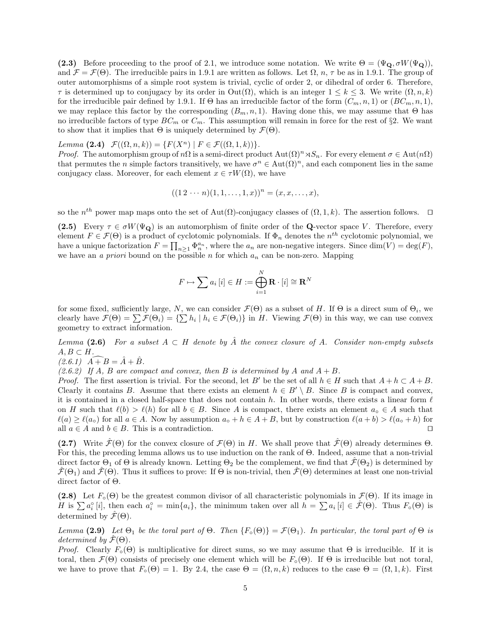(2.3) Before proceeding to the proof of 2.1, we introduce some notation. We write  $\Theta = (\Psi_{\mathbf{Q}}, \sigma W(\Psi_{\mathbf{Q}}))$ , and  $\mathcal{F} = \mathcal{F}(\Theta)$ . The irreducible pairs in 1.9.1 are written as follows. Let  $\Omega$ ,  $n, \tau$  be as in 1.9.1. The group of outer automorphisms of a simple root system is trivial, cyclic of order 2, or dihedral of order 6. Therefore,  $\tau$  is determined up to conjugacy by its order in  $\text{Out}(\Omega)$ , which is an integer  $1 \leq k \leq 3$ . We write  $(\Omega, n, k)$ for the irreducible pair defined by 1.9.1. If  $\Theta$  has an irreducible factor of the form  $(C_m, n, 1)$  or  $(BC_m, n, 1)$ , we may replace this factor by the corresponding  $(B_m, n, 1)$ . Having done this, we may assume that  $\Theta$  has no irreducible factors of type  $BC_m$  or  $C_m$ . This assumption will remain in force for the rest of §2. We want to show that it implies that  $\Theta$  is uniquely determined by  $\mathcal{F}(\Theta)$ .

Lemma (2.4)  $\mathcal{F}((\Omega, n, k)) = \{F(X^n) | F \in \mathcal{F}((\Omega, 1, k))\}.$ 

*Proof.* The automorphism group of  $n\Omega$  is a semi-direct product  $\text{Aut}(\Omega)^n \rtimes S_n$ . For every element  $\sigma \in \text{Aut}(n\Omega)$ that permutes the *n* simple factors transitively, we have  $\sigma^n \in \text{Aut}(\Omega)^n$ , and each component lies in the same conjugacy class. Moreover, for each element  $x \in \tau W(\Omega)$ , we have

$$
((1\,2\,\cdots n)(1,1,\ldots,1,x))^n = (x,x,\ldots,x),
$$

so the  $n^{th}$  power map maps onto the set of Aut( $\Omega$ )-conjugacy classes of  $(\Omega, 1, k)$ . The assertion follows.  $\square$ 

(2.5) Every  $\tau \in \sigma W(\Psi_{\mathbf{Q}})$  is an automorphism of finite order of the Q-vector space V. Therefore, every element  $F \in \mathcal{F}(\Theta)$  is a product of cyclotomic polynomials. If  $\Phi_n$  denotes the  $n^{th}$  cyclotomic polynomial, we have a unique factorization  $F = \prod_{n\geq 1} \Phi_n^{a_n}$ , where the  $a_n$  are non-negative integers. Since  $\dim(V) = \deg(F)$ , we have an a priori bound on the possible n for which  $a_n$  can be non-zero. Mapping

$$
F \mapsto \sum a_i [i] \in H := \bigoplus_{i=1}^N \mathbf{R} \cdot [i] \cong \mathbf{R}^N
$$

for some fixed, sufficiently large, N, we can consider  $\mathcal{F}(\Theta)$  as a subset of H. If  $\Theta$  is a direct sum of  $\Theta_i$ , we clearly have  $\mathcal{F}(\Theta) = \sum \mathcal{F}(\Theta_i) = \{\sum h_i \mid h_i \in \mathcal{F}(\Theta_i)\}\$ in H. Viewing  $\mathcal{F}(\Theta)$  in this way, we can use convex geometry to extract information.

Lemma (2.6) For a subset  $A \subset H$  denote by  $\hat{A}$  the convex closure of A. Consider non-empty subsets  $A, B \subset H$ .

 $(2.6.1)$   $\vec{A} + \vec{B} = \hat{A} + \hat{B}.$ 

(2.6.2) If A, B are compact and convex, then B is determined by A and  $A + B$ .

*Proof.* The first assertion is trivial. For the second, let B' be the set of all  $h \in H$  such that  $A + h \subset A + B$ . Clearly it contains B. Assume that there exists an element  $h \in B' \setminus B$ . Since B is compact and convex, it is contained in a closed half-space that does not contain h. In other words, there exists a linear form  $\ell$ on H such that  $\ell(b) > \ell(h)$  for all  $b \in B$ . Since A is compact, there exists an element  $a_0 \in A$  such that  $\ell(a) \geq \ell(a_0)$  for all  $a \in A$ . Now by assumption  $a_0 + h \in A + B$ , but by construction  $\ell(a + b) > \ell(a_0 + h)$  for all  $a \in A$  and  $b \in B$ . This is a contradiction.

(2.7) Write  $\hat{\mathcal{F}}(\Theta)$  for the convex closure of  $\mathcal{F}(\Theta)$  in H. We shall prove that  $\hat{\mathcal{F}}(\Theta)$  already determines  $\Theta$ . For this, the preceding lemma allows us to use induction on the rank of Θ. Indeed, assume that a non-trivial direct factor  $\Theta_1$  of  $\Theta$  is already known. Letting  $\Theta_2$  be the complement, we find that  $\hat{\mathcal{F}}(\Theta_2)$  is determined by  $\mathcal{F}(\Theta_1)$  and  $\mathcal{F}(\Theta)$ . Thus it suffices to prove: If  $\Theta$  is non-trivial, then  $\mathcal{F}(\Theta)$  determines at least one non-trivial direct factor of Θ.

(2.8) Let  $F<sub>o</sub>(\Theta)$  be the greatest common divisor of all characteristic polynomials in  $\mathcal{F}(\Theta)$ . If its image in H is  $\sum a_i^{\circ} [i]$ , then each  $a_i^{\circ} = \min\{a_i\}$ , the minimum taken over all  $h = \sum a_i [i] \in \hat{\mathcal{F}}(\Theta)$ . Thus  $F_{\circ}(\Theta)$  is determined by  $\mathcal{F}(\Theta)$ .

Lemma (2.9) Let  $\Theta_1$  be the toral part of  $\Theta$ . Then  $\{F_\circ(\Theta)\} = \mathcal{F}(\Theta_1)$ . In particular, the toral part of  $\Theta$  is determined by  $\mathcal{F}(\Theta)$ .

*Proof.* Clearly  $F_{\circ}(\Theta)$  is multiplicative for direct sums, so we may assume that  $\Theta$  is irreducible. If it is toral, then  $\mathcal{F}(\Theta)$  consists of precisely one element which will be  $F_{\circ}(\Theta)$ . If  $\Theta$  is irreducible but not toral, we have to prove that  $F_{\circ}(\Theta) = 1$ . By 2.4, the case  $\Theta = (\Omega, n, k)$  reduces to the case  $\Theta = (\Omega, 1, k)$ . First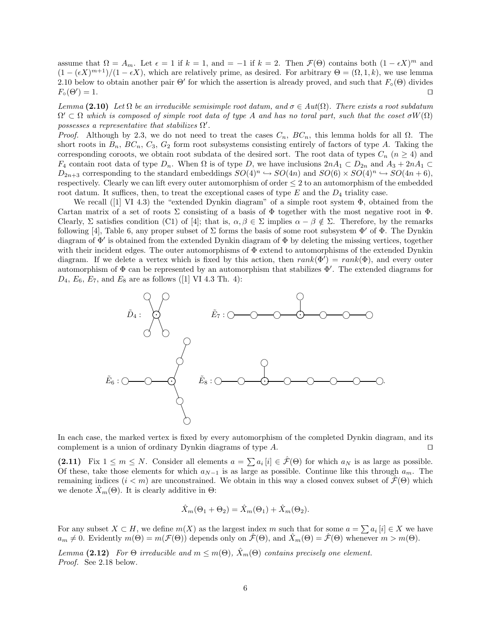assume that  $\Omega = A_m$ . Let  $\epsilon = 1$  if  $k = 1$ , and  $\epsilon = -1$  if  $k = 2$ . Then  $\mathcal{F}(\Theta)$  contains both  $(1 - \epsilon X)^m$  and  $(1 - (\epsilon X)^{m+1})/(1 - \epsilon X)$ , which are relatively prime, as desired. For arbitrary  $\Theta = (\Omega, 1, k)$ , we use lemma 2.10 below to obtain another pair  $\Theta'$  for which the assertion is already proved, and such that  $F_{\circ}(\Theta)$  divides  $F_{\circ}(\Theta')=1.$  $) = 1.$ 

Lemma (2.10) Let  $\Omega$  be an irreducible semisimple root datum, and  $\sigma \in Aut(\Omega)$ . There exists a root subdatum  $\Omega' \subset \Omega$  which is composed of simple root data of type A and has no toral part, such that the coset  $\sigma W(\Omega)$ possesses a representative that stabilizes  $\Omega'$ .

*Proof.* Although by 2.3, we do not need to treat the cases  $C_n$ ,  $BC_n$ , this lemma holds for all  $\Omega$ . The short roots in  $B_n$ ,  $BC_n$ ,  $C_3$ ,  $G_2$  form root subsystems consisting entirely of factors of type A. Taking the corresponding coroots, we obtain root subdata of the desired sort. The root data of types  $C_n$  ( $n \geq 4$ ) and  $F_4$  contain root data of type  $D_n$ . When  $\Omega$  is of type D, we have inclusions  $2nA_1 \subset D_{2n}$  and  $A_3 + 2nA_1 \subset D_{2n}$  $D_{2n+3}$  corresponding to the standard embeddings  $SO(4)^n \hookrightarrow SO(4n)$  and  $SO(6) \times SO(4)^n \hookrightarrow SO(4n+6)$ , respectively. Clearly we can lift every outer automorphism of order  $\leq 2$  to an automorphism of the embedded root datum. It suffices, then, to treat the exceptional cases of type  $E$  and the  $D_4$  triality case.

We recall ([1] VI 4.3) the "extended Dynkin diagram" of a simple root system Φ, obtained from the Cartan matrix of a set of roots  $\Sigma$  consisting of a basis of  $\Phi$  together with the most negative root in  $\Phi$ . Clearly, Σ satisfies condition (C1) of [4]; that is,  $\alpha, \beta \in \Sigma$  implies  $\alpha - \beta \notin \Sigma$ . Therefore, by the remarks following [4], Table 6, any proper subset of  $\Sigma$  forms the basis of some root subsystem  $\Phi'$  of  $\Phi$ . The Dynkin diagram of  $\Phi'$  is obtained from the extended Dynkin diagram of  $\Phi$  by deleting the missing vertices, together with their incident edges. The outer automorphisms of  $\Phi$  extend to automorphisms of the extended Dynkin diagram. If we delete a vertex which is fixed by this action, then  $rank(\Phi') = rank(\Phi)$ , and every outer automorphism of  $\Phi$  can be represented by an automorphism that stabilizes  $\Phi'$ . The extended diagrams for  $D_4, E_6, E_7$ , and  $E_8$  are as follows ([1] VI 4.3 Th. 4):



In each case, the marked vertex is fixed by every automorphism of the completed Dynkin diagram, and its complement is a union of ordinary Dynkin diagrams of type  $A$ .

(2.11) Fix  $1 \leq m \leq N$ . Consider all elements  $a = \sum a_i [i] \in \hat{\mathcal{F}}(\Theta)$  for which  $a_N$  is as large as possible. Of these, take those elements for which  $a_{N-1}$  is as large as possible. Continue like this through  $a_m$ . The remaining indices  $(i < m)$  are unconstrained. We obtain in this way a closed convex subset of  $\mathcal{F}(\Theta)$  which we denote  $\bar{X}_m(\Theta)$ . It is clearly additive in  $\Theta$ :

$$
\hat{X}_m(\Theta_1 + \Theta_2) = \hat{X}_m(\Theta_1) + \hat{X}_m(\Theta_2).
$$

For any subset  $X \subset H$ , we define  $m(X)$  as the largest index m such that for some  $a = \sum a_i [i] \in X$  we have  $a_m \neq 0$ . Evidently  $m(\Theta) = m(\mathcal{F}(\Theta))$  depends only on  $\hat{\mathcal{F}}(\Theta)$ , and  $\hat{X}_m(\Theta) = \hat{\mathcal{F}}(\Theta)$  whenever  $m > m(\Theta)$ .

Lemma (2.12) For  $\Theta$  irreducible and  $m \leq m(\Theta)$ ,  $\hat{X}_m(\Theta)$  contains precisely one element. Proof. See 2.18 below.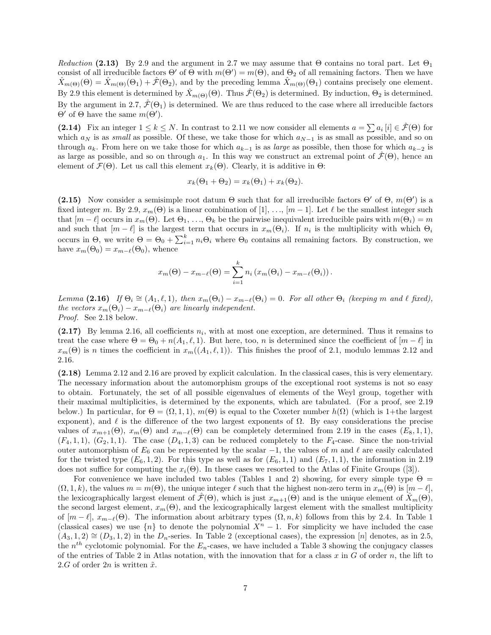Reduction (2.13) By 2.9 and the argument in 2.7 we may assume that  $\Theta$  contains no toral part. Let  $\Theta_1$ consist of all irreducible factors  $\Theta'$  of  $\Theta$  with  $m(\Theta') = m(\Theta)$ , and  $\Theta_2$  of all remaining factors. Then we have  $X_{m(\Theta)}(\Theta) = X_{m(\Theta)}(\Theta_1) + \mathcal{F}(\Theta_2)$ , and by the preceding lemma  $X_{m(\Theta)}(\Theta_1)$  contains precisely one element. By 2.9 this element is determined by  $\hat{X}_{m(\Theta)}(\Theta)$ . Thus  $\hat{\mathcal{F}}(\Theta_2)$  is determined. By induction,  $\Theta_2$  is determined. By the argument in 2.7,  $\hat{\mathcal{F}}(\Theta_1)$  is determined. We are thus reduced to the case where all irreducible factors  $\Theta'$  of  $\Theta$  have the same  $m(\Theta')$ .

(2.14) Fix an integer  $1 \leq k \leq N$ . In contrast to 2.11 we now consider all elements  $a = \sum a_i [i] \in \hat{\mathcal{F}}(\Theta)$  for which  $a_N$  is as small as possible. Of these, we take those for which  $a_{N-1}$  is as small as possible, and so on through  $a_k$ . From here on we take those for which  $a_{k-1}$  is as *large* as possible, then those for which  $a_{k-2}$  is as large as possible, and so on through  $a_1$ . In this way we construct an extremal point of  $\mathcal{F}(\Theta)$ , hence an element of  $\mathcal{F}(\Theta)$ . Let us call this element  $x_k(\Theta)$ . Clearly, it is additive in  $\Theta$ :

$$
x_k(\Theta_1 + \Theta_2) = x_k(\Theta_1) + x_k(\Theta_2).
$$

(2.15) Now consider a semisimple root datum  $\Theta$  such that for all irreducible factors  $\Theta'$  of  $\Theta$ ,  $m(\Theta')$  is a fixed integer m. By 2.9,  $x_m(\Theta)$  is a linear combination of [1], ...,  $[m-1]$ . Let  $\ell$  be the smallest integer such that  $[m - \ell]$  occurs in  $x_m(\Theta)$ . Let  $\Theta_1, \ldots, \Theta_k$  be the pairwise inequivalent irreducible pairs with  $m(\Theta_i) = m$ and such that  $[m - \ell]$  is the largest term that occurs in  $x_m(\Theta_i)$ . If  $n_i$  is the multiplicity with which  $\Theta_i$ occurs in  $\Theta$ , we write  $\Theta = \Theta_0 + \sum_{i=1}^k n_i \Theta_i$  where  $\Theta_0$  contains all remaining factors. By construction, we have  $x_m(\Theta_0) = x_{m-\ell}(\Theta_0)$ , whence

$$
x_m(\Theta) - x_{m-\ell}(\Theta) = \sum_{i=1}^k n_i (x_m(\Theta_i) - x_{m-\ell}(\Theta_i)).
$$

Lemma (2.16) If  $\Theta_i \cong (A_1, \ell, 1)$ , then  $x_m(\Theta_i) - x_{m-\ell}(\Theta_i) = 0$ . For all other  $\Theta_i$  (keeping m and  $\ell$  fixed), the vectors  $x_m(\Theta_i) - x_{m-\ell}(\Theta_i)$  are linearly independent. Proof. See 2.18 below.

 $(2.17)$  By lemma 2.16, all coefficients  $n_i$ , with at most one exception, are determined. Thus it remains to treat the case where  $\Theta = \Theta_0 + n(A_1, \ell, 1)$ . But here, too, n is determined since the coefficient of  $[m - \ell]$  in  $x_m(\Theta)$  is n times the coefficient in  $x_m((A_1, \ell, 1))$ . This finishes the proof of 2.1, modulo lemmas 2.12 and 2.16.

(2.18) Lemma 2.12 and 2.16 are proved by explicit calculation. In the classical cases, this is very elementary. The necessary information about the automorphism groups of the exceptional root systems is not so easy to obtain. Fortunately, the set of all possible eigenvalues of elements of the Weyl group, together with their maximal multiplicities, is determined by the exponents, which are tabulated. (For a proof, see 2.19 below.) In particular, for  $\Theta = (\Omega, 1, 1)$ ,  $m(\Theta)$  is equal to the Coxeter number  $h(\Omega)$  (which is 1+the largest exponent), and  $\ell$  is the difference of the two largest exponents of  $\Omega$ . By easy considerations the precise values of  $x_{m+1}(\Theta)$ ,  $x_m(\Theta)$  and  $x_{m-\ell}(\Theta)$  can be completely determined from 2.19 in the cases  $(E_8, 1, 1),$  $(F_4, 1, 1), (G_2, 1, 1).$  The case  $(D_4, 1, 3)$  can be reduced completely to the  $F_4$ -case. Since the non-trivial outer automorphism of  $E_6$  can be represented by the scalar  $-1$ , the values of m and  $\ell$  are easily calculated for the twisted type  $(E_6, 1, 2)$ . For this type as well as for  $(E_6, 1, 1)$  and  $(E_7, 1, 1)$ , the information in 2.19 does not suffice for computing the  $x_i(\Theta)$ . In these cases we resorted to the Atlas of Finite Groups ([3]).

For convenience we have included two tables (Tables 1 and 2) showing, for every simple type  $\Theta =$  $(\Omega, 1, k)$ , the values  $m = m(\Theta)$ , the unique integer  $\ell$  such that the highest non-zero term in  $x_m(\Theta)$  is  $[m - \ell]$ , the lexicographically largest element of  $\hat{\mathcal{F}}(\Theta)$ , which is just  $x_{m+1}(\Theta)$  and is the unique element of  $\hat{X}_m(\Theta)$ , the second largest element,  $x_m(\Theta)$ , and the lexicographically largest element with the smallest multiplicity of  $[m - \ell], x_{m-\ell}(\Theta)$ . The information about arbitrary types  $(\Omega, n, k)$  follows from this by 2.4. In Table 1 (classical cases) we use  ${n \atop n}$  to denote the polynomial  $X<sup>n</sup> - 1$ . For simplicity we have included the case  $(A_3, 1, 2) \cong (D_3, 1, 2)$  in the  $D_n$ -series. In Table 2 (exceptional cases), the expression [n] denotes, as in 2.5, the  $n<sup>th</sup>$  cyclotomic polynomial. For the  $E_n$ -cases, we have included a Table 3 showing the conjugacy classes of the entries of Table 2 in Atlas notation, with the innovation that for a class  $x$  in  $G$  of order  $n$ , the lift to 2.G of order  $2n$  is written  $\tilde{x}$ .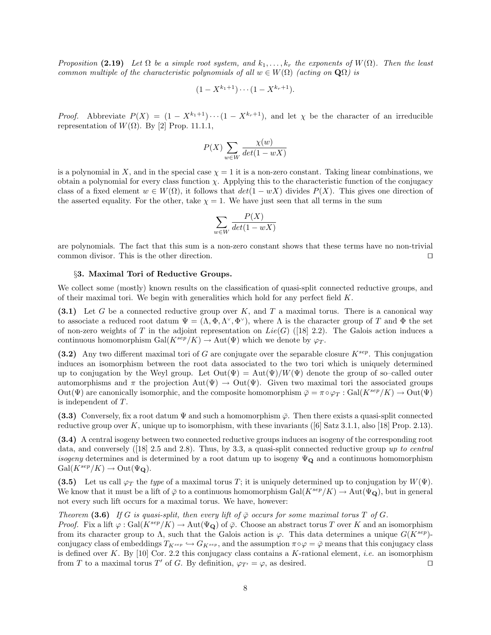Proposition (2.19) Let  $\Omega$  be a simple root system, and  $k_1, \ldots, k_r$  the exponents of  $W(\Omega)$ . Then the least common multiple of the characteristic polynomials of all  $w \in W(\Omega)$  (acting on  $\mathbf{Q}\Omega$ ) is

$$
(1 - X^{k_1+1}) \cdots (1 - X^{k_r+1}).
$$

*Proof.* Abbreviate  $P(X) = (1 - X^{k_1+1}) \cdots (1 - X^{k_r+1})$ , and let  $\chi$  be the character of an irreducible representation of  $W(\Omega)$ . By [2] Prop. 11.1.1,

$$
P(X) \sum_{w \in W} \frac{\chi(w)}{det(1 - wX)}
$$

is a polynomial in X, and in the special case  $\chi = 1$  it is a non-zero constant. Taking linear combinations, we obtain a polynomial for every class function  $\chi$ . Applying this to the characteristic function of the conjugacy class of a fixed element  $w \in W(\Omega)$ , it follows that  $det(1 - wX)$  divides  $P(X)$ . This gives one direction of the asserted equality. For the other, take  $\chi = 1$ . We have just seen that all terms in the sum

$$
\sum_{w \in W} \frac{P(X)}{det(1 - wX)}
$$

are polynomials. The fact that this sum is a non-zero constant shows that these terms have no non-trivial common divisor. This is the other direction.  $\Box$ 

### §3. Maximal Tori of Reductive Groups.

We collect some (mostly) known results on the classification of quasi-split connected reductive groups, and of their maximal tori. We begin with generalities which hold for any perfect field  $K$ .

(3.1) Let G be a connected reductive group over K, and T a maximal torus. There is a canonical way to associate a reduced root datum  $\Psi = (\Lambda, \Phi, \Lambda^\vee, \Phi^\vee)$ , where  $\Lambda$  is the character group of T and  $\Phi$  the set of non-zero weights of T in the adjoint representation on  $Lie(G)$  ([18] 2.2). The Galois action induces a continuous homomorphism Gal( $K^{sep}/K$ )  $\rightarrow$  Aut( $\Psi$ ) which we denote by  $\varphi_T$ .

(3.2) Any two different maximal tori of G are conjugate over the separable closure  $K^{sep}$ . This conjugation induces an isomorphism between the root data associated to the two tori which is uniquely determined up to conjugation by the Weyl group. Let  $Out(\Psi) = Aut(\Psi)/W(\Psi)$  denote the group of so–called outer automorphisms and  $\pi$  the projection Aut $(\Psi) \to \text{Out}(\Psi)$ . Given two maximal tori the associated groups Out( $\Psi$ ) are canonically isomorphic, and the composite homomorphism  $\bar{\varphi} = \pi \circ \varphi_T : \text{Gal}(K^{sep}/K) \to \text{Out}(\Psi)$ is independent of T.

(3.3) Conversely, fix a root datum  $\Psi$  and such a homomorphism  $\bar{\varphi}$ . Then there exists a quasi-split connected reductive group over K, unique up to isomorphism, with these invariants ([6] Satz 3.1.1, also [18] Prop. 2.13).

(3.4) A central isogeny between two connected reductive groups induces an isogeny of the corresponding root data, and conversely ([18] 2.5 and 2.8). Thus, by 3.3, a quasi-split connected reductive group up to central *isogeny* determines and is determined by a root datum up to isogeny  $\Psi_{\mathbf{Q}}$  and a continuous homomorphism  $Gal(K^{sep}/K) \to Out(\Psi_{\mathbf{Q}}).$ 

(3.5) Let us call  $\varphi_T$  the type of a maximal torus T; it is uniquely determined up to conjugation by  $W(\Psi)$ . We know that it must be a lift of  $\bar{\varphi}$  to a continuous homomorphism Gal( $K^{sep}/K$ )  $\rightarrow$  Aut( $\Psi_{\mathbf{Q}}$ ), but in general not every such lift occurs for a maximal torus. We have, however:

Theorem (3.6) If G is quasi-split, then every lift of  $\overline{\varphi}$  occurs for some maximal torus T of G. *Proof.* Fix a lift  $\varphi$ : Gal( $K^{sep}/K$ )  $\rightarrow$  Aut( $\Psi_{\mathbf{Q}}$ ) of  $\bar{\varphi}$ . Choose an abstract torus T over K and an isomorphism from its character group to  $\Lambda$ , such that the Galois action is  $\varphi$ . This data determines a unique  $G(K^{sep})$ conjugacy class of embeddings  $T_{K^{sep}} \hookrightarrow G_{K^{sep}}$ , and the assumption  $\pi \circ \varphi = \bar{\varphi}$  means that this conjugacy class is defined over K. By  $|10|$  Cor. 2.2 this conjugacy class contains a K-rational element, *i.e.* an isomorphism from T to a maximal torus T' of G. By definition,  $\varphi_{T'} = \varphi$ , as desired.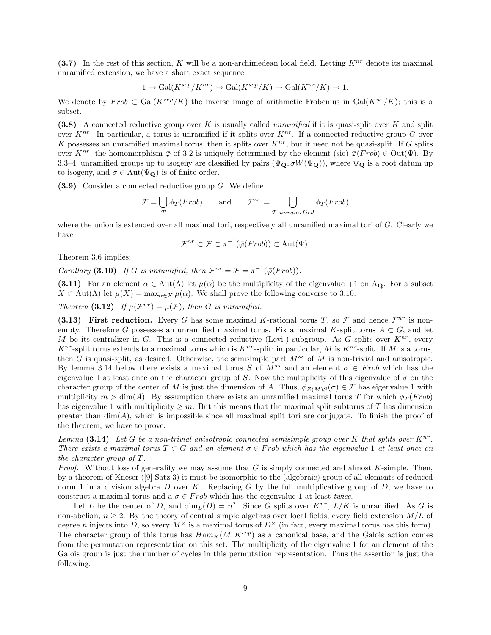(3.7) In the rest of this section, K will be a non-archimedean local field. Letting  $K^{nr}$  denote its maximal unramified extension, we have a short exact sequence

$$
1 \to \text{Gal}(K^{sep}/K^{nr}) \to \text{Gal}(K^{sep}/K) \to \text{Gal}(K^{nr}/K) \to 1.
$$

We denote by  $Frob \subset Gal(K^{sep}/K)$  the inverse image of arithmetic Frobenius in  $Gal(K^{nr}/K)$ ; this is a subset.

(3.8) A connected reductive group over K is usually called *unramified* if it is quasi-split over K and split over  $K^{nr}$ . In particular, a torus is unramified if it splits over  $K^{nr}$ . If a connected reductive group G over K possesses an unramified maximal torus, then it splits over  $K^{nr}$ , but it need not be quasi-split. If G splits over  $K^{nr}$ , the homomorphism  $\overline{\varphi}$  of 3.2 is uniquely determined by the element (sic)  $\overline{\varphi}(Frob) \in Out(\Psi)$ . By 3.3–4, unramified groups up to isogeny are classified by pairs ( $\Psi_{\mathbf{Q}}, \sigma W(\Psi_{\mathbf{Q}})$ ), where  $\Psi_{\mathbf{Q}}$  is a root datum up to isogeny, and  $\sigma \in \text{Aut}(\Psi_{\mathbf{Q}})$  is of finite order.

 $(3.9)$  Consider a connected reductive group G. We define

$$
\mathcal{F} = \bigcup_{T} \phi_T(Frob) \quad \text{and} \quad \mathcal{F}^{nr} = \bigcup_{T \text{ unramified}} \phi_T(Frob)
$$

where the union is extended over all maximal tori, respectively all unramified maximal tori of  $G$ . Clearly we have

$$
\mathcal{F}^{nr} \subset \mathcal{F} \subset \pi^{-1}(\bar{\varphi}(Frob)) \subset \text{Aut}(\Psi).
$$

Theorem 3.6 implies:

Corollary (3.10) If G is unramified, then  $\mathcal{F}^{nr} = \mathcal{F} = \pi^{-1}(\bar{\varphi}(Frob)).$ 

(3.11) For an element  $\alpha \in Aut(\Lambda)$  let  $\mu(\alpha)$  be the multiplicity of the eigenvalue +1 on  $\Lambda_{\Omega}$ . For a subset  $X \subset \text{Aut}(\Lambda)$  let  $\mu(X) = \max_{\alpha \in X} \mu(\alpha)$ . We shall prove the following converse to 3.10.

Theorem (3.12) If  $\mu(\mathcal{F}^{nr}) = \mu(\mathcal{F})$ , then G is unramified.

(3.13) First reduction. Every G has some maximal K-rational torus T, so F and hence  $\mathcal{F}^{nr}$  is nonempty. Therefore G possesses an unramified maximal torus. Fix a maximal K-split torus  $A \subset G$ , and let M be its centralizer in G. This is a connected reductive (Levi-) subgroup. As G splits over  $K^{nr}$ , every  $K^{nr}$ -split torus extends to a maximal torus which is  $K^{nr}$ -split; in particular, M is  $K^{nr}$ -split. If M is a torus, then G is quasi-split, as desired. Otherwise, the semisimple part  $M^{ss}$  of M is non-trivial and anisotropic. By lemma 3.14 below there exists a maximal torus S of  $M^{ss}$  and an element  $\sigma \in Frob$  which has the eigenvalue 1 at least once on the character group of S. Now the multiplicity of this eigenvalue of  $\sigma$  on the character group of the center of M is just the dimension of A. Thus,  $\phi_{Z(M)S}(\sigma) \in \mathcal{F}$  has eigenvalue 1 with multiplicity  $m > \dim(A)$ . By assumption there exists an unramified maximal torus T for which  $\phi_T(Frob)$ has eigenvalue 1 with multiplicity  $\geq m$ . But this means that the maximal split subtorus of T has dimension greater than  $\dim(A)$ , which is impossible since all maximal split tori are conjugate. To finish the proof of the theorem, we have to prove:

Lemma  $(3.14)$  Let G be a non-trivial anisotropic connected semisimple group over K that splits over  $K^{nr}$ . There exists a maximal torus  $T \subset G$  and an element  $\sigma \in Frob$  which has the eigenvalue 1 at least once on the character group of T.

*Proof.* Without loss of generality we may assume that G is simply connected and almost  $K$ -simple. Then, by a theorem of Kneser ([9] Satz 3) it must be isomorphic to the (algebraic) group of all elements of reduced norm 1 in a division algebra  $D$  over  $K$ . Replacing  $G$  by the full multiplicative group of  $D$ , we have to construct a maximal torus and a  $\sigma \in Frob$  which has the eigenvalue 1 at least twice.

Let L be the center of D, and  $\dim_L(D) = n^2$ . Since G splits over  $K^{nr}$ ,  $L/K$  is unramified. As G is non-abelian,  $n \geq 2$ . By the theory of central simple algebras over local fields, every field extension  $M/L$  of degree n injects into D, so every  $M^{\times}$  is a maximal torus of  $D^{\times}$  (in fact, every maximal torus has this form). The character group of this torus has  $Hom_K(M, K^{sep})$  as a canonical base, and the Galois action comes from the permutation representation on this set. The multiplicity of the eigenvalue 1 for an element of the Galois group is just the number of cycles in this permutation representation. Thus the assertion is just the following: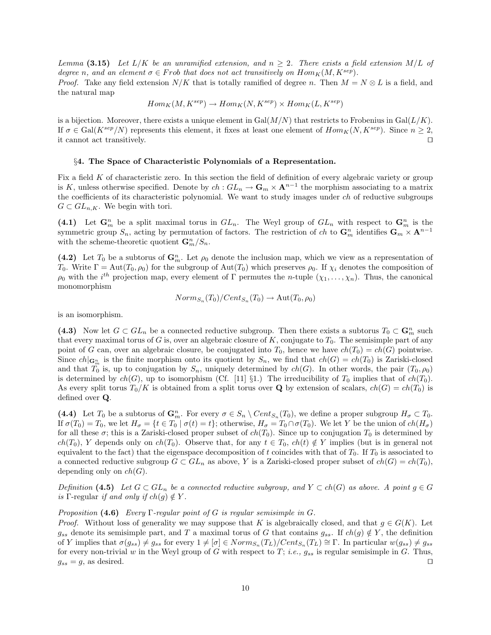Lemma (3.15) Let  $L/K$  be an unramified extension, and  $n \geq 2$ . There exists a field extension M/L of degree n, and an element  $\sigma \in Frob$  that does not act transitively on  $Hom_K(M, K^{sep})$ .

*Proof.* Take any field extension  $N/K$  that is totally ramified of degree n. Then  $M = N \otimes L$  is a field, and the natural map

$$
Hom_K(M, K^{sep}) \to Hom_K(N, K^{sep}) \times Hom_K(L, K^{sep})
$$

is a bijection. Moreover, there exists a unique element in  $Gal(M/N)$  that restricts to Frobenius in  $Gal(L/K)$ . If  $\sigma \in \text{Gal}(K^{sep}/N)$  represents this element, it fixes at least one element of  $Hom_K(N, K^{sep})$ . Since  $n \geq 2$ , it cannot act transitively.  $\Box$ 

#### §4. The Space of Characteristic Polynomials of a Representation.

Fix a field K of characteristic zero. In this section the field of definition of every algebraic variety or group is K, unless otherwise specified. Denote by  $ch: GL_n \to \mathbf{G}_m \times \mathbf{A}^{n-1}$  the morphism associating to a matrix the coefficients of its characteristic polynomial. We want to study images under ch of reductive subgroups  $G \subset GL_{n,K}$ . We begin with tori.

(4.1) Let  $\mathbf{G}_m^n$  be a split maximal torus in  $GL_n$ . The Weyl group of  $GL_n$  with respect to  $\mathbf{G}_m^n$  is the symmetric group  $S_n$ , acting by permutation of factors. The restriction of ch to  $\mathbf{G}_m^n$  identifies  $\mathbf{G}_m \times \mathbf{A}^{n-1}$ with the scheme-theoretic quotient  $\mathbf{G}_m^n/S_n$ .

(4.2) Let  $T_0$  be a subtorus of  $\mathbf{G}_m^n$ . Let  $\rho_0$  denote the inclusion map, which we view as a representation of T<sub>0</sub>. Write  $\Gamma = \text{Aut}(T_0, \rho_0)$  for the subgroup of  $\text{Aut}(T_0)$  which preserves  $\rho_0$ . If  $\chi_i$  denotes the composition of  $\rho_0$  with the i<sup>th</sup> projection map, every element of Γ permutes the n-tuple  $(\chi_1, \ldots, \chi_n)$ . Thus, the canonical monomorphism

$$
Norm_{S_n}(T_0)/Cent_{S_n}(T_0) \to Aut(T_0, \rho_0)
$$

is an isomorphism.

(4.3) Now let  $G \subset GL_n$  be a connected reductive subgroup. Then there exists a subtorus  $T_0 \subset \mathbb{G}_m^n$  such that every maximal torus of G is, over an algebraic closure of K, conjugate to  $T_0$ . The semisimple part of any point of G can, over an algebraic closure, be conjugated into  $T_0$ , hence we have  $ch(T_0) = ch(G)$  pointwise. Since  $ch|_{\mathbf{G}_m^n}$  is the finite morphism onto its quotient by  $S_n$ , we find that  $ch(G) = ch(T_0)$  is Zariski-closed and that  $T_0$  is, up to conjugation by  $S_n$ , uniquely determined by  $ch(G)$ . In other words, the pair  $(T_0, \rho_0)$ is determined by  $ch(G)$ , up to isomorphism (Cf. [11] §1.) The irreducibility of  $T_0$  implies that of  $ch(T_0)$ . As every split torus  $T_0/K$  is obtained from a split torus over Q by extension of scalars,  $ch(G) = ch(T_0)$  is defined over Q.

(4.4) Let  $T_0$  be a subtorus of  $\mathbf{G}_m^n$ . For every  $\sigma \in S_n \setminus Cent_{S_n}(T_0)$ , we define a proper subgroup  $H_{\sigma} \subset T_0$ . If  $\sigma(T_0) = T_0$ , we let  $H_{\sigma} = \{t \in T_0 \mid \sigma(t) = t\}$ ; otherwise,  $H_{\sigma} = T_0 \cap \sigma(T_0)$ . We let Y be the union of  $ch(H_{\sigma})$ for all these  $\sigma$ ; this is a Zariski-closed proper subset of  $ch(T_0)$ . Since up to conjugation  $T_0$  is determined by  $ch(T_0)$ , Y depends only on  $ch(T_0)$ . Observe that, for any  $t \in T_0$ ,  $ch(t) \notin Y$  implies (but is in general not equivalent to the fact) that the eigenspace decomposition of t coincides with that of  $T_0$ . If  $T_0$  is associated to a connected reductive subgroup  $G \subset GL_n$  as above, Y is a Zariski-closed proper subset of  $ch(G) = ch(T_0)$ , depending only on  $ch(G)$ .

Definition (4.5) Let  $G \subset GL_n$  be a connected reductive subgroup, and  $Y \subset ch(G)$  as above. A point  $g \in G$ is Γ-regular if and only if  $ch(g) \notin Y$ .

#### Proposition (4.6) Every  $\Gamma$ -regular point of G is regular semisimple in G.

*Proof.* Without loss of generality we may suppose that K is algebraically closed, and that  $g \in G(K)$ . Let  $g_{ss}$  denote its semisimple part, and T a maximal torus of G that contains  $g_{ss}$ . If  $ch(g) \notin Y$ , the definition of Y implies that  $\sigma(g_{ss}) \neq g_{ss}$  for every  $1 \neq [\sigma] \in Norm_{S_n}(T_L)/Cent_{S_n}(T_L) \cong \Gamma$ . In particular  $w(g_{ss}) \neq g_{ss}$ for every non-trivial w in the Weyl group of G with respect to T; *i.e.*,  $g_{ss}$  is regular semisimple in G. Thus,  $g_{ss} = g$ , as desired.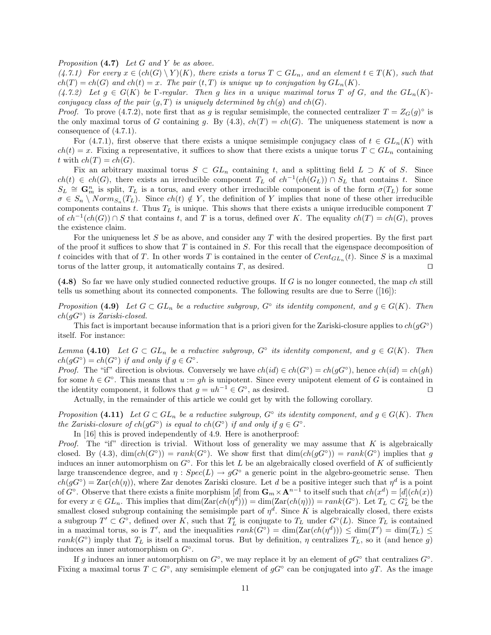Proposition  $(4.7)$  Let G and Y be as above.

 $(4.7.1)$  For every  $x \in (ch(G) \ Y)(K)$ , there exists a torus  $T \subset GL_n$ , and an element  $t \in T(K)$ , such that  $ch(T) = ch(G)$  and  $ch(t) = x$ . The pair  $(t, T)$  is unique up to conjugation by  $GL_n(K)$ .

 $(4.7.2)$  Let  $g \in G(K)$  be Γ-regular. Then g lies in a unique maximal torus T of G, and the  $GL_n(K)$ conjugacy class of the pair  $(g, T)$  is uniquely determined by  $ch(g)$  and  $ch(G)$ .

*Proof.* To prove (4.7.2), note first that as g is regular semisimple, the connected centralizer  $T = Z_G(g)^\circ$  is the only maximal torus of G containing g. By (4.3),  $ch(T) = ch(G)$ . The uniqueness statement is now a consequence of (4.7.1).

For (4.7.1), first observe that there exists a unique semisimple conjugacy class of  $t \in GL_n(K)$  with  $ch(t) = x$ . Fixing a representative, it suffices to show that there exists a unique torus  $T \subset GL_n$  containing t with  $ch(T) = ch(G)$ .

Fix an arbitrary maximal torus  $S \subset GL_n$  containing t, and a splitting field  $L \supset K$  of S. Since  $ch(t) \in ch(G)$ , there exists an irreducible component  $T_L$  of  $ch^{-1}(ch(G_L)) \cap S_L$  that contains t. Since  $S_L \cong \mathbf{G}_m^n$  is split,  $T_L$  is a torus, and every other irreducible component is of the form  $\sigma(T_L)$  for some  $\sigma \in S_n \setminus Norm_{S_n}(T_L)$ . Since  $ch(t) \notin Y$ , the definition of Y implies that none of these other irreducible components contains t. Thus  $T_L$  is unique. This shows that there exists a unique irreducible component  $T$ of  $ch^{-1}(ch(G)) \cap S$  that contains t, and T is a torus, defined over K. The equality  $ch(T) = ch(G)$ , proves the existence claim.

For the uniqueness let  $S$  be as above, and consider any  $T$  with the desired properties. By the first part of the proof it suffices to show that  $T$  is contained in  $S$ . For this recall that the eigenspace decomposition of t coincides with that of T. In other words T is contained in the center of  $Cent_{GL_n}(t)$ . Since S is a maximal torus of the latter group, it automatically contains  $T$ , as desired.  $\Box$ 

 $(4.8)$  So far we have only studied connected reductive groups. If G is no longer connected, the map ch still tells us something about its connected components. The following results are due to Serre ([16]):

Proposition (4.9) Let  $G \subset GL_n$  be a reductive subgroup,  $G^{\circ}$  its identity component, and  $g \in G(K)$ . Then  $ch(gG^{\circ})$  is Zariski-closed.

This fact is important because information that is a priori given for the Zariski-closure applies to  $ch(gG^{\circ})$ itself. For instance:

Lemma (4.10) Let  $G \subset GL_n$  be a reductive subgroup,  $G^{\circ}$  its identity component, and  $g \in G(K)$ . Then  $ch(gG^{\circ}) = ch(G^{\circ})$  if and only if  $g \in G^{\circ}$ .

*Proof.* The "if" direction is obvious. Conversely we have  $ch(id) \in ch(G^{\circ}) = ch(gG^{\circ})$ , hence  $ch(id) = ch(gh)$ for some  $h \in G^{\circ}$ . This means that  $u := gh$  is unipotent. Since every unipotent element of G is contained in the identity component, it follows that  $g = uh^{-1} \in G^{\circ}$ , as desired.

Actually, in the remainder of this article we could get by with the following corollary.

Proposition (4.11) Let  $G \subset GL_n$  be a reductive subgroup,  $G^{\circ}$  its identity component, and  $g \in G(K)$ . Then the Zariski-closure of  $ch(gG^{\circ})$  is equal to  $ch(G^{\circ})$  if and only if  $g \in G^{\circ}$ .

In [16] this is proved independently of 4.9. Here is anotherproof:

*Proof.* The "if" direction is trivial. Without loss of generality we may assume that  $K$  is algebraically closed. By (4.3),  $\dim(ch(G^{\circ})) = rank(G^{\circ})$ . We show first that  $\dim(ch(gG^{\circ})) = rank(G^{\circ})$  implies that g induces an inner automorphism on  $G^{\circ}$ . For this let L be an algebraically closed overfield of K of sufficiently large transcendence degree, and  $\eta : Spec(L) \to qG^{\circ}$  a generic point in the algebro-geometric sense. Then  $ch(gG^{\circ}) = \text{Zar}(ch(\eta))$ , where Zar denotes Zariski closure. Let d be a positive integer such that  $\eta^d$  is a point of  $G^{\circ}$ . Observe that there exists a finite morphism [d] from  $\mathbf{G}_m \times \mathbf{A}^{n-1}$  to itself such that  $ch(x^d) = [d](ch(x))$ for every  $x \in GL_n$ . This implies that  $\dim(\text{Zar}(ch(\eta^d))) = \dim(\text{Zar}(ch(\eta))) = rank(G^{\circ})$ . Let  $T_L \subset G^{\circ}_L$  be the smallest closed subgroup containing the semisimple part of  $\eta^d$ . Since K is algebraically closed, there exists a subgroup  $T' \subset G^{\circ}$ , defined over K, such that  $T'_{L}$  is conjugate to  $T_{L}$  under  $G^{\circ}(L)$ . Since  $T_{L}$  is contained in a maximal torus, so is T', and the inequalities  $rank(G^{\circ}) = dim(Zar(ch(\eta^d))) \le dim(T') = dim(T_L) \le$  $rank(G^{\circ})$  imply that  $T_L$  is itself a maximal torus. But by definition,  $\eta$  centralizes  $T_L$ , so it (and hence g) induces an inner automorphism on  $G^{\circ}$ .

If g induces an inner automorphism on  $G^{\circ}$ , we may replace it by an element of  $gG^{\circ}$  that centralizes  $G^{\circ}$ . Fixing a maximal torus  $T \subset G^{\circ}$ , any semisimple element of  $gG^{\circ}$  can be conjugated into  $gT$ . As the image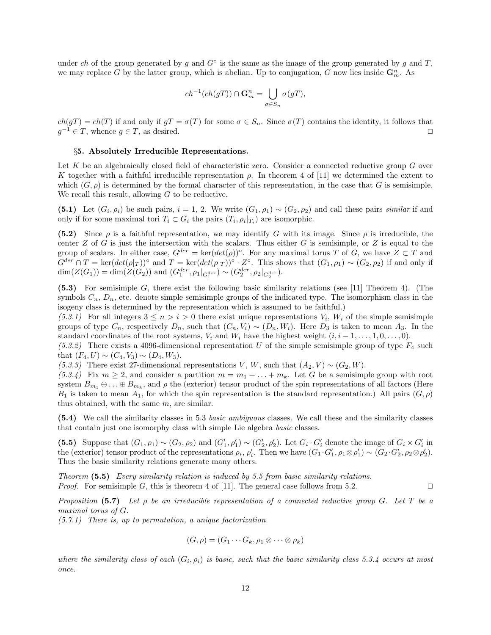under ch of the group generated by g and  $G^{\circ}$  is the same as the image of the group generated by g and T, we may replace G by the latter group, which is abelian. Up to conjugation, G now lies inside  $\mathbf{G}_m^n$ . As

$$
ch^{-1}(ch(gT)) \cap \mathbf{G}_m^n = \bigcup_{\sigma \in S_n} \sigma(gT),
$$

 $ch(gT) = ch(T)$  if and only if  $gT = \sigma(T)$  for some  $\sigma \in S_n$ . Since  $\sigma(T)$  contains the identity, it follows that  $g^{-1} \in T$ , whence  $g \in T$ , as desired.

## §5. Absolutely Irreducible Representations.

Let  $K$  be an algebraically closed field of characteristic zero. Consider a connected reductive group  $G$  over K together with a faithful irreducible representation  $\rho$ . In theorem 4 of [11] we determined the extent to which  $(G, \rho)$  is determined by the formal character of this representation, in the case that G is semisimple. We recall this result, allowing  $G$  to be reductive.

(5.1) Let  $(G_i, \rho_i)$  be such pairs,  $i = 1, 2$ . We write  $(G_1, \rho_1) \sim (G_2, \rho_2)$  and call these pairs similar if and only if for some maximal tori  $T_i \subset G_i$  the pairs  $(T_i, \rho_i|_{T_i})$  are isomorphic.

(5.2) Since  $\rho$  is a faithful representation, we may identify G with its image. Since  $\rho$  is irreducible, the center Z of G is just the intersection with the scalars. Thus either G is semisimple, or Z is equal to the group of scalars. In either case,  $G^{der} = \text{ker}(det(\rho))$ °. For any maximal torus T of G, we have  $Z \subset T$  and  $G^{der} \cap T = \text{ker}(det(\rho|_T))^{\circ}$  and  $T = \text{ker}(det(\rho|_T))^{\circ} \cdot Z^{\circ}$ . This shows that  $(G_1, \rho_1) \sim (G_2, \rho_2)$  if and only if  $\dim(Z(G_1)) = \dim(Z(G_2))$  and  $(G_1^{der}, \rho_1|_{G_1^{der}}) \sim (G_2^{der}, \rho_2|_{G_2^{der}})$ .

(5.3) For semisimple G, there exist the following basic similarity relations (see [11] Theorem 4). (The symbols  $C_n$ ,  $D_n$ , etc. denote simple semisimple groups of the indicated type. The isomorphism class in the isogeny class is determined by the representation which is assumed to be faithful.)

(5.3.1) For all integers  $3 \leq n > i > 0$  there exist unique representations  $V_i$ ,  $W_i$  of the simple semisimple groups of type  $C_n$ , respectively  $D_n$ , such that  $(C_n, V_i) \sim (D_n, W_i)$ . Here  $D_3$  is taken to mean  $A_3$ . In the standard coordinates of the root systems,  $V_i$  and  $W_i$  have the highest weight  $(i, i - 1, \ldots, 1, 0, \ldots, 0)$ .

 $(5.3.2)$  There exists a 4096-dimensional representation U of the simple semisimple group of type  $F_4$  such that  $(F_4, U) \sim (C_4, V_3) \sim (D_4, W_3)$ .

(5.3.3) There exist 27-dimensional representations V, W, such that  $(A_2, V) \sim (G_2, W)$ .

(5.3.4) Fix  $m \geq 2$ , and consider a partition  $m = m_1 + \ldots + m_k$ . Let G be a semisimple group with root system  $B_{m_1}\oplus \ldots \oplus B_{m_k}$ , and  $\rho$  the (exterior) tensor product of the spin representations of all factors (Here  $B_1$  is taken to mean  $A_1$ , for which the spin representation is the standard representation.) All pairs  $(G, \rho)$ thus obtained, with the same m, are similar.

(5.4) We call the similarity classes in 5.3 basic ambiguous classes. We call these and the similarity classes that contain just one isomorphy class with simple Lie algebra basic classes.

(5.5) Suppose that  $(G_1, \rho_1) \sim (G_2, \rho_2)$  and  $(G'_1, \rho'_1) \sim (G'_2, \rho'_2)$ . Let  $G_i \cdot G'_i$  denote the image of  $G_i \times G'_i$  in the (exterior) tensor product of the representations  $\rho_i$ ,  $\rho'_i$ . Then we have  $(G_1 \cdot G'_1, \rho_1 \otimes \rho'_1) \sim (G_2 \cdot G'_2, \rho_2 \otimes \rho'_2)$ . Thus the basic similarity relations generate many others.

Theorem (5.5) Every similarity relation is induced by 5.5 from basic similarity relations. *Proof.* For semisimple G, this is theorem 4 of [11]. The general case follows from 5.2.

Proposition (5.7) Let  $\rho$  be an irreducible representation of a connected reductive group G. Let T be a maximal torus of G.

(5.7.1) There is, up to permutation, a unique factorization

$$
(G,\rho)=(G_1\cdots G_k,\rho_1\otimes\cdots\otimes\rho_k)
$$

where the similarity class of each  $(G_i, \rho_i)$  is basic, such that the basic similarity class 5.3.4 occurs at most once.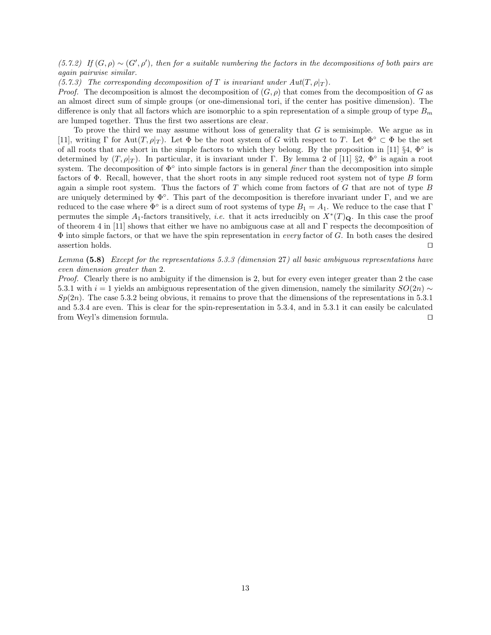(5.7.2) If  $(G, \rho) \sim (G', \rho')$ , then for a suitable numbering the factors in the decompositions of both pairs are again pairwise similar.

(5.7.3) The corresponding decomposition of T is invariant under  $Aut(T, \rho|_T)$ .

*Proof.* The decomposition is almost the decomposition of  $(G, \rho)$  that comes from the decomposition of G as an almost direct sum of simple groups (or one-dimensional tori, if the center has positive dimension). The difference is only that all factors which are isomorphic to a spin representation of a simple group of type  $B_m$ are lumped together. Thus the first two assertions are clear.

To prove the third we may assume without loss of generality that  $G$  is semisimple. We argue as in [11], writing Γ for Aut $(T, \rho|_T)$ . Let  $\Phi$  be the root system of G with respect to T. Let  $\Phi^{\circ} \subset \Phi$  be the set of all roots that are short in the simple factors to which they belong. By the proposition in [11]  $\S 4, \Phi^{\circ}$  is determined by  $(T, \rho|_T)$ . In particular, it is invariant under Γ. By lemma 2 of [11] §2,  $\Phi^{\circ}$  is again a root system. The decomposition of  $\Phi^{\circ}$  into simple factors is in general *finer* than the decomposition into simple factors of  $\Phi$ . Recall, however, that the short roots in any simple reduced root system not of type B form again a simple root system. Thus the factors of T which come from factors of G that are not of type B are uniquely determined by  $\Phi^{\circ}$ . This part of the decomposition is therefore invariant under  $\Gamma$ , and we are reduced to the case where  $\Phi^{\circ}$  is a direct sum of root systems of type  $B_1 = A_1$ . We reduce to the case that  $\Gamma$ permutes the simple  $A_1$ -factors transitively, *i.e.* that it acts irreducibly on  $X^*(T)_Q$ . In this case the proof of theorem 4 in [11] shows that either we have no ambiguous case at all and Γ respects the decomposition of  $\Phi$  into simple factors, or that we have the spin representation in every factor of G. In both cases the desired assertion holds.  $\Box$ 

Lemma (5.8) Except for the representations 5.3.3 (dimension 27) all basic ambiguous representations have even dimension greater than 2.

Proof. Clearly there is no ambiguity if the dimension is 2, but for every even integer greater than 2 the case 5.3.1 with  $i = 1$  yields an ambiguous representation of the given dimension, namely the similarity  $SO(2n) \sim$  $Sp(2n)$ . The case 5.3.2 being obvious, it remains to prove that the dimensions of the representations in 5.3.1 and 5.3.4 are even. This is clear for the spin-representation in 5.3.4, and in 5.3.1 it can easily be calculated from Weyl's dimension formula.  $\square$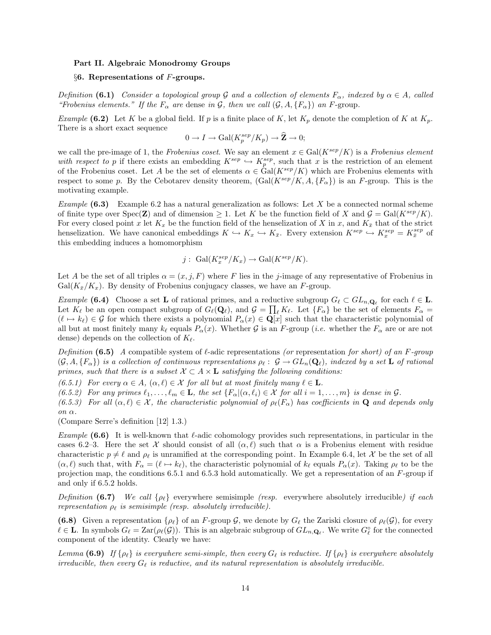#### Part II. Algebraic Monodromy Groups

## $§6.$  Representations of F-groups.

Definition (6.1) Consider a topological group G and a collection of elements  $F_{\alpha}$ , indexed by  $\alpha \in A$ , called "Frobenius elements." If the  $F_{\alpha}$  are dense in G, then we call  $(\mathcal{G}, A, \{F_{\alpha}\})$  an F-group.

Example (6.2) Let K be a global field. If p is a finite place of K, let  $K_p$  denote the completion of K at  $K_p$ . There is a short exact sequence

$$
0 \to I \to \text{Gal}(K_p^{sep}/K_p) \to \widehat{\mathbf{Z}} \to 0;
$$

we call the pre-image of 1, the Frobenius coset. We say an element  $x \in Gal(K^{sep}/K)$  is a Frobenius element with respect to p if there exists an embedding  $K^{sep} \hookrightarrow K^{sep}_p$ , such that x is the restriction of an element of the Frobenius coset. Let A be the set of elements  $\alpha \in \text{Gal}(K^{sep}/K)$  which are Frobenius elements with respect to some p. By the Cebotarev density theorem,  $(Gal(K^{sep}/K, A, {F_{\alpha}}))$  is an F-group. This is the motivating example.

Example  $(6.3)$  Example 6.2 has a natural generalization as follows: Let X be a connected normal scheme of finite type over  $Spec(\mathbf{Z})$  and of dimension  $\geq 1$ . Let K be the function field of X and  $\mathcal{G} = Gal(K^{sep}/K)$ . For every closed point x let  $K_x$  be the function field of the henselization of X in x, and  $K_{\bar{x}}$  that of the strict henselization. We have canonical embeddings  $K \hookrightarrow K_x \hookrightarrow K_{\bar{x}}$ . Every extension  $K^{sep} \hookrightarrow K_x^{sep} = K_{\bar{x}}^{sep}$  of this embedding induces a homomorphism

$$
j: \text{ Gal}(K_x^{sep}/K_x) \to \text{Gal}(K^{sep}/K).
$$

Let A be the set of all triples  $\alpha = (x, j, F)$  where F lies in the j-image of any representative of Frobenius in  $Gal(K_{\bar{x}}/K_x)$ . By density of Frobenius conjugacy classes, we have an F-group.

Example (6.4) Choose a set **L** of rational primes, and a reductive subgroup  $G_\ell \subset GL_{n,\mathbf{Q}_\ell}$  for each  $\ell \in \mathbf{L}$ . Let  $K_\ell$  be an open compact subgroup of  $G_\ell(\mathbf{Q}_\ell)$ , and  $\mathcal{G} = \prod_\ell K_\ell$ . Let  $\{F_\alpha\}$  be the set of elements  $F_\alpha =$  $(\ell \mapsto k_{\ell}) \in \mathcal{G}$  for which there exists a polynomial  $P_{\alpha}(x) \in \mathbf{Q}[x]$  such that the characteristic polynomial of all but at most finitely many  $k_{\ell}$  equals  $P_{\alpha}(x)$ . Whether G is an F-group (*i.e.* whether the  $F_{\alpha}$  are or are not dense) depends on the collection of  $K_{\ell}$ .

Definition (6.5) A compatible system of  $\ell$ -adic representations (or representation for short) of an F-group  $(\mathcal{G}, A, \{F_\alpha\})$  is a collection of continuous representations  $\rho_\ell : \mathcal{G} \to GL_n(\mathbf{Q}_\ell)$ , indexed by a set **L** of rational primes, such that there is a subset  $\mathcal{X} \subset A \times \mathbf{L}$  satisfying the following conditions:

(6.5.1) For every  $\alpha \in A$ ,  $(\alpha, \ell) \in \mathcal{X}$  for all but at most finitely many  $\ell \in \mathbf{L}$ .

(6.5.2) For any primes  $\ell_1, \ldots, \ell_m \in \mathbf{L}$ , the set  $\{F_\alpha | (\alpha, \ell_i) \in \mathcal{X} \text{ for all } i = 1, \ldots, m\}$  is dense in  $\mathcal{G}$ .

(6.5.3) For all  $(\alpha, \ell) \in \mathcal{X}$ , the characteristic polynomial of  $\rho_{\ell}(F_{\alpha})$  has coefficients in **Q** and depends only on α.

(Compare Serre's definition [12] 1.3.)

Example (6.6) It is well-known that  $\ell$ -adic cohomology provides such representations, in particular in the cases 6.2–3. Here the set X should consist of all  $(\alpha, \ell)$  such that  $\alpha$  is a Frobenius element with residue characteristic  $p \neq \ell$  and  $\rho_{\ell}$  is unramified at the corresponding point. In Example 6.4, let X be the set of all  $(\alpha, \ell)$  such that, with  $F_\alpha = (\ell \mapsto k_\ell)$ , the characteristic polynomial of  $k_\ell$  equals  $P_\alpha(x)$ . Taking  $\rho_\ell$  to be the projection map, the conditions 6.5.1 and 6.5.3 hold automatically. We get a representation of an F-group if and only if 6.5.2 holds.

Definition (6.7) We call  $\{\rho_\ell\}$  everywhere semisimple (resp. everywhere absolutely irreducible) if each representation  $\rho_{\ell}$  is semisimple (resp. absolutely irreducible).

(6.8) Given a representation  $\{\rho_\ell\}$  of an F-group G, we denote by  $G_\ell$  the Zariski closure of  $\rho_\ell(\mathcal{G})$ , for every  $\ell \in \mathbf{L}$ . In symbols  $G_{\ell} = \text{Zar}(\rho_{\ell}(\mathcal{G}))$ . This is an algebraic subgroup of  $GL_{n,\mathbf{Q}_{\ell}}$ . We write  $G_{\ell}^{\circ}$  for the connected component of the identity. Clearly we have:

Lemma (6.9) If  $\{\rho_\ell\}$  is everywhere semi-simple, then every  $G_\ell$  is reductive. If  $\{\rho_\ell\}$  is everywhere absolutely irreducible, then every  $G_{\ell}$  is reductive, and its natural representation is absolutely irreducible.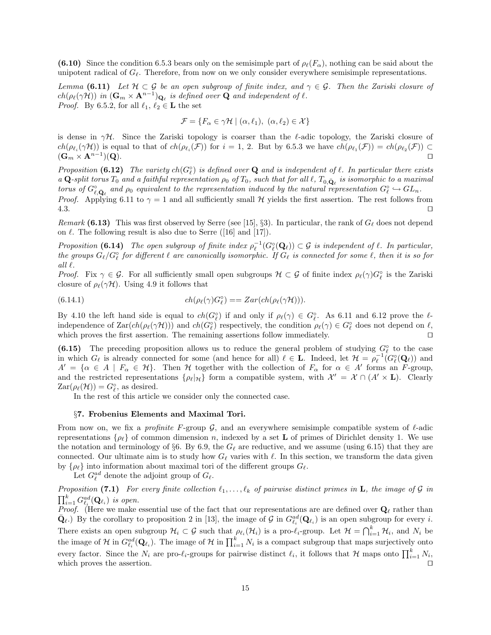(6.10) Since the condition 6.5.3 bears only on the semisimple part of  $\rho_{\ell}(F_{\alpha})$ , nothing can be said about the unipotent radical of  $G_\ell$ . Therefore, from now on we only consider everywhere semisimple representations.

Lemma (6.11) Let  $H \subset \mathcal{G}$  be an open subgroup of finite index, and  $\gamma \in \mathcal{G}$ . Then the Zariski closure of  $ch(\rho_\ell(\gamma\mathcal{H}))$  in  $(\mathbf{G}_m\times \mathbf{A}^{n-1})_{\mathbf{Q}_\ell}$  is defined over  $\mathbf Q$  and independent of  $\ell$ . *Proof.* By 6.5.2, for all  $\ell_1, \ell_2 \in \mathbf{L}$  the set

$$
\mathcal{F} = \{ F_{\alpha} \in \gamma \mathcal{H} \mid (\alpha, \ell_1), \ (\alpha, \ell_2) \in \mathcal{X} \}
$$

is dense in  $\gamma\mathcal{H}$ . Since the Zariski topology is coarser than the  $\ell$ -adic topology, the Zariski closure of  $ch(\rho_{\ell_i}(\gamma\mathcal{H}))$  is equal to that of  $ch(\rho_{\ell_i}(\mathcal{F}))$  for  $i=1, 2$ . But by 6.5.3 we have  $ch(\rho_{\ell_1}(\mathcal{F})) = ch(\rho_{\ell_2}(\mathcal{F})) \subset$  $(\mathbf{G}_m \times \mathbf{A}^{n-1})(\mathbf{Q}).$ )( Q).  $\hfill\square$ 

Proposition (6.12) The variety  $ch(G_{\ell}^{\circ})$  is defined over Q and is independent of  $\ell$ . In particular there exists a Q-split torus  $T_0$  and a faithful representation  $\rho_0$  of  $T_0$ , such that for all  $\ell$ ,  $T_{0,\bar{\bf Q}_\ell}$  is isomorphic to a maximal torus of  $G^{\circ}_{\ell,\bar{\mathbf{Q}}_{\ell}}$  and  $\rho_0$  equivalent to the representation induced by the natural representation  $G^{\circ}_{\ell} \hookrightarrow GL_n$ . *Proof.* Applying 6.11 to  $\gamma = 1$  and all sufficiently small H yields the first assertion. The rest follows from

 $4.3.$ 

Remark (6.13) This was first observed by Serre (see [15], §3). In particular, the rank of  $G_\ell$  does not depend on  $\ell$ . The following result is also due to Serre ([16] and [17]).

Proposition (6.14) The open subgroup of finite index  $\rho_{\ell}^{-1}(G_{\ell}^{\circ}(\mathbf{Q}_{\ell})) \subset \mathcal{G}$  is independent of  $\ell$ . In particular, the groups  $G_\ell/G_\ell^\circ$  for different  $\ell$  are canonically isomorphic. If  $G_\ell$  is connected for some  $\ell$ , then it is so for all  $\ell$ .

Proof. Fix  $\gamma \in \mathcal{G}$ . For all sufficiently small open subgroups  $\mathcal{H} \subset \mathcal{G}$  of finite index  $\rho_{\ell}(\gamma)G_{\ell}^{\circ}$  is the Zariski closure of  $\rho_{\ell}(\gamma\mathcal{H})$ . Using 4.9 it follows that

(6.14.1) 
$$
ch(\rho_{\ell}(\gamma)G_{\ell}^{\circ}) = Zar(ch(\rho_{\ell}(\gamma\mathcal{H}))).
$$

By 4.10 the left hand side is equal to  $ch(G_{\ell}^{\circ})$  if and only if  $\rho_{\ell}(\gamma) \in G_{\ell}^{\circ}$ . As 6.11 and 6.12 prove the  $\ell$ independence of  $\text{Zar}(ch(\rho_{\ell}(\gamma\mathcal{H})))$  and  $ch(G_{\ell}^{\circ})$  respectively, the condition  $\rho_{\ell}(\gamma) \in G_{\ell}^{\circ}$  does not depend on  $\ell$ , which proves the first assertion. The remaining assertions follow immediately.  $\Box$ 

(6.15) The preceding proposition allows us to reduce the general problem of studying  $G_{\ell}^{\circ}$  to the case in which  $G_{\ell}$  is already connected for some (and hence for all)  $\ell \in L$ . Indeed, let  $\mathcal{H} = \rho_{\ell}^{-1}(G_{\ell}^{\circ}(\mathbf{Q}_{\ell}))$  and  $A' = \{\alpha \in A \mid F_{\alpha} \in \mathcal{H}\}\$ . Then H together with the collection of  $F_{\alpha}$  for  $\alpha \in A'$  forms an F-group, and the restricted representations  $\{\rho_\ell | \mathcal{H}\}$  form a compatible system, with  $\mathcal{X}' = \mathcal{X} \cap (A' \times \mathbf{L})$ . Clearly  $\text{Zar}(\rho_{\ell}(\mathcal{H})) = G_{\ell}^{\circ}$ , as desired.

In the rest of this article we consider only the connected case.

### §7. Frobenius Elements and Maximal Tori.

From now on, we fix a *profinite* F-group  $\mathcal{G}$ , and an everywhere semisimple compatible system of  $\ell$ -adic representations  $\{\rho_\ell\}$  of common dimension n, indexed by a set **L** of primes of Dirichlet density 1. We use the notation and terminology of §6. By 6.9, the  $G_\ell$  are reductive, and we assume (using 6.15) that they are connected. Our ultimate aim is to study how  $G_\ell$  varies with  $\ell$ . In this section, we transform the data given by  $\{\rho_\ell\}$  into information about maximal tori of the different groups  $G_\ell$ .

Let  $G_{\ell}^{ad}$  denote the adjoint group of  $G_{\ell}$ .

Proposition (7.1) For every finite collection  $\ell_1, \ldots, \ell_k$  of pairwise distinct primes in L, the image of G in  $\prod_{i=1}^k G_{\ell_i}^{ad}(\mathbf{Q}_{\ell_i})$  is open.

*Proof.* (Here we make essential use of the fact that our representations are are defined over  $\mathbf{Q}_\ell$  rather than  $\bar{\mathbf{Q}}_{\ell}$ .) By the corollary to proposition 2 in [13], the image of G in  $G_{\ell_i}^{ad}(\mathbf{Q}_{\ell_i})$  is an open subgroup for every i. There exists an open subgroup  $\mathcal{H}_i \subset \mathcal{G}$  such that  $\rho_{\ell_i}(\mathcal{H}_i)$  is a pro- $\ell_i$ -group. Let  $\mathcal{H} = \bigcap_{i=1}^k \mathcal{H}_i$ , and  $N_i$  be the image of H in  $G_{\ell_i}^{ad}(\mathbf{Q}_{\ell_i})$ . The image of H in  $\prod_{i=1}^k N_i$  is a compact subgroup that maps surjectively onto every factor. Since the  $N_i$  are pro- $\ell_i$ -groups for pairwise distinct  $\ell_i$ , it follows that H maps onto  $\prod_{i=1}^k N_i$ , which proves the assertion.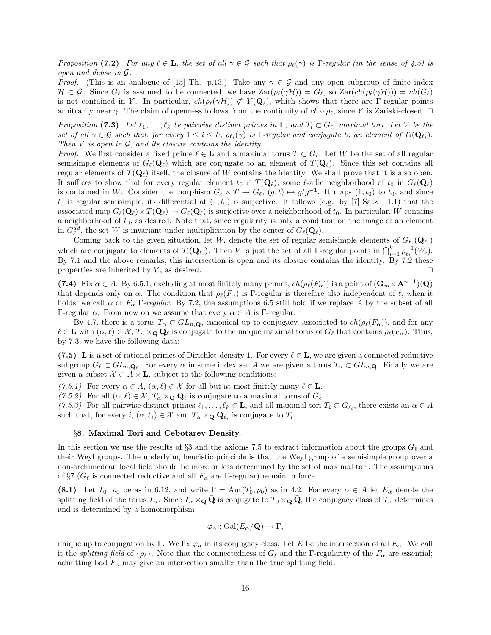Proposition (7.2) For any  $\ell \in \mathbf{L}$ , the set of all  $\gamma \in \mathcal{G}$  such that  $\rho_{\ell}(\gamma)$  is Γ-regular (in the sense of 4.5) is open and dense in G.

*Proof.* (This is an analogue of [15] Th. p.13.) Take any  $\gamma \in \mathcal{G}$  and any open subgroup of finite index  $\mathcal{H} \subset \mathcal{G}$ . Since  $G_{\ell}$  is assumed to be connected, we have  $\text{Zar}(\rho_{\ell}(\gamma\mathcal{H})) = G_{\ell}$ , so  $\text{Zar}(ch(\rho_{\ell}(\gamma\mathcal{H}))) = ch(G_{\ell})$ is not contained in Y. In particular,  $ch(\rho(\gamma\mathcal{H})) \not\subset Y(\mathbf{Q}_\ell)$ , which shows that there are Γ-regular points arbitrarily near  $\gamma$ . The claim of openness follows from the continuity of  $ch \circ \rho_{\ell}$ , since Y is Zariski-closed.  $\Box$ 

Proposition (7.3) Let  $\ell_1, \ldots, \ell_k$  be pairwise distinct primes in **L**, and  $T_i \subset G_{\ell_i}$  maximal tori. Let V be the set of all  $\gamma \in \mathcal{G}$  such that, for every  $1 \leq i \leq k$ ,  $\rho_{\ell_i}(\gamma)$  is  $\Gamma$ -regular and conjugate to an element of  $T_i(\mathbf{Q}_{\ell_i})$ . Then  $V$  is open in  $G$ , and its closure contains the identity.

*Proof.* We first consider a fixed prime  $\ell \in \mathbf{L}$  and a maximal torus  $T \subset G_{\ell}$ . Let W be the set of all regular semisimple elements of  $G_{\ell}(\mathbf{Q}_{\ell})$  which are conjugate to an element of  $T(\mathbf{Q}_{\ell})$ . Since this set contains all regular elements of  $T(\mathbf{Q}_\ell)$  itself, the closure of W contains the identity. We shall prove that it is also open. It suffices to show that for every regular element  $t_0 \in T(\mathbf{Q}_\ell)$ , some  $\ell$ -adic neighborhood of  $t_0$  in  $G_\ell(\mathbf{Q}_\ell)$ is contained in W. Consider the morphism  $G_\ell \times T \to G_\ell$ ,  $(g, t) \mapsto gtg^{-1}$ . It maps  $(1, t_0)$  to  $t_0$ , and since  $t_0$  is regular semisimple, its differential at  $(1, t_0)$  is surjective. It follows (e.g. by [7] Satz 1.1.1) that the associated map  $G_{\ell}(\mathbf{Q}_{\ell})\times T(\mathbf{Q}_{\ell}) \to G_{\ell}(\mathbf{Q}_{\ell})$  is surjective over a neighborhood of  $t_0$ . In particular, W contains a neighborhood of  $t_0$ , as desired. Note that, since regularity is only a condition on the image of an element in  $G_{\ell}^{ad}$ , the set W is invariant under multiplication by the center of  $G_{\ell}(\mathbf{Q}_{\ell}).$ 

Coming back to the given situation, let  $W_i$  denote the set of regular semisimple elements of  $G_{\ell_i}(\mathbf{Q}_{\ell_i})$ which are conjugate to elements of  $T_i(\mathbf{Q}_{\ell_i})$ . Then V is just the set of all Γ-regular points in  $\bigcap_{i=1}^k \rho_{\ell_i}^{-1}(W_i)$ . By 7.1 and the above remarks, this intersection is open and its closure contains the identity. By 7.2 these properties are inherited by  $V$ , as desired.  $\Box$ 

(7.4) Fix  $\alpha \in A$ . By 6.5.1, excluding at most finitely many primes,  $ch(\rho_{\ell}(F_{\alpha}))$  is a point of  $(\mathbf{G}_m \times \mathbf{A}^{n-1})(\mathbf{Q})$ that depends only on  $\alpha$ . The condition that  $\rho_{\ell}(F_{\alpha})$  is Γ-regular is therefore also independent of  $\ell$ ; when it holds, we call  $\alpha$  or  $F_{\alpha}$  Γ-regular. By 7.2, the assumptions 6.5 still hold if we replace A by the subset of all Γ-regular  $\alpha$ . From now on we assume that every  $\alpha \in A$  is Γ-regular.

By 4.7, there is a torus  $T_\alpha \subset GL_{n,\mathbf{Q}}$ , canonical up to conjugacy, associated to  $ch(\rho_\ell(F_\alpha))$ , and for any  $\ell \in \mathbf{L}$  with  $(\alpha, \ell) \in \mathcal{X}$ ,  $T_\alpha \times_\mathbf{Q} \mathbf{Q}_\ell$  is conjugate to the unique maximal torus of  $G_\ell$  that contains  $\rho_\ell(F_\alpha)$ . Thus, by 7.3, we have the following data:

(7.5) L is a set of rational primes of Dirichlet-density 1. For every  $\ell \in L$ , we are given a connected reductive subgroup  $G_\ell \subset GL_{n,\mathbf{Q}_\ell}$ . For every  $\alpha$  in some index set A we are given a torus  $T_\alpha \subset GL_{n,\mathbf{Q}}$ . Finally we are given a subset  $X \subset A \times L$ , subject to the following conditions:

 $(7.5.1)$  For every  $\alpha \in A$ ,  $(\alpha, \ell) \in \mathcal{X}$  for all but at most finitely many  $\ell \in \mathbf{L}$ .

(7.5.2) For all  $(\alpha, \ell) \in \mathcal{X}$ ,  $T_{\alpha} \times_{\mathbf{Q}} \mathbf{Q}_{\ell}$  is conjugate to a maximal torus of  $G_{\ell}$ .

(7.5.3) For all pairwise distinct primes  $\ell_1, \ldots, \ell_k \in \mathbf{L}$ , and all maximal tori  $T_i \subset G_{\ell_i}$ , there exists an  $\alpha \in A$ such that, for every  $i, (\alpha, \ell_i) \in \mathcal{X}$  and  $T_\alpha \times_{\mathbf{Q}} \mathbf{Q}_{\ell_i}$  is conjugate to  $T_i$ .

#### §8. Maximal Tori and Cebotarev Density.

In this section we use the results of §3 and the axioms 7.5 to extract information about the groups  $G_\ell$  and their Weyl groups. The underlying heuristic principle is that the Weyl group of a semisimple group over a non-archimedean local field should be more or less determined by the set of maximal tori. The assumptions of §7 ( $G_{\ell}$  is connected reductive and all  $F_{\alpha}$  are Γ-regular) remain in force.

(8.1) Let  $T_0$ ,  $\rho_0$  be as in 6.12, and write  $\Gamma = \text{Aut}(T_0, \rho_0)$  as in 4.2. For every  $\alpha \in A$  let  $E_\alpha$  denote the splitting field of the torus  $T_{\alpha}$ . Since  $T_{\alpha} \times_{\mathbf{Q}} \bar{\mathbf{Q}}$  is conjugate to  $T_0 \times_{\mathbf{Q}} \bar{\mathbf{Q}}$ , the conjugacy class of  $T_{\alpha}$  determines and is determined by a homomorphism

$$
\varphi_{\alpha} : \text{Gal}(E_{\alpha}/\mathbf{Q}) \to \Gamma,
$$

unique up to conjugation by Γ. We fix  $\varphi_{\alpha}$  in its conjugacy class. Let E be the intersection of all  $E_{\alpha}$ . We call it the *splitting field* of  $\{\rho_\ell\}$ . Note that the connectedness of  $G_\ell$  and the Γ-regularity of the  $F_\alpha$  are essential; admitting bad  $F_{\alpha}$  may give an intersection smaller than the true splitting field.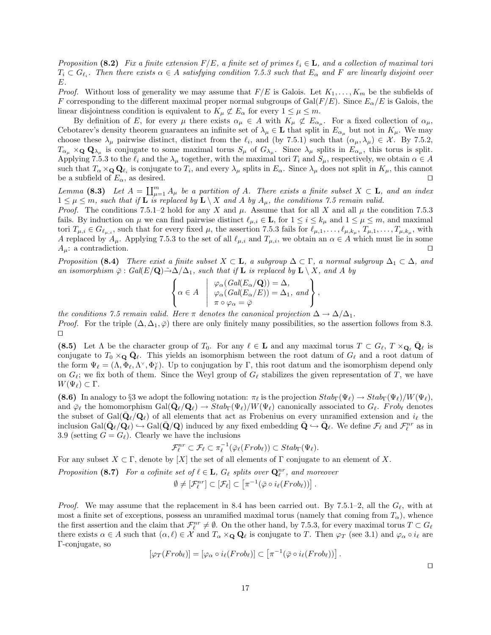Proposition (8.2) Fix a finite extension  $F/E$ , a finite set of primes  $\ell_i \in \mathbf{L}$ , and a collection of maximal tori  $T_i\subset G_{\ell_i}$ . Then there exists  $\alpha\in A$  satisfying condition 7.5.3 such that  $E_\alpha$  and F are linearly disjoint over E.

*Proof.* Without loss of generality we may assume that  $F/E$  is Galois. Let  $K_1, \ldots, K_m$  be the subfields of F corresponding to the different maximal proper normal subgroups of  $Gal(F/E)$ . Since  $E_{\alpha}/E$  is Galois, the linear disjointness condition is equivalent to  $K_{\mu} \not\subset E_{\alpha}$  for every  $1 \leq \mu \leq m$ .

By definition of E, for every  $\mu$  there exists  $\alpha_{\mu} \in A$  with  $K_{\mu} \not\subset E_{\alpha_{\mu}}$ . For a fixed collection of  $\alpha_{\mu}$ , Cebotarev's density theorem guarantees an infinite set of  $\lambda_\mu \in \mathbf{L}$  that split in  $E_{\alpha_\mu}$  but not in  $K_\mu$ . We may choose these  $\lambda_{\mu}$  pairwise distinct, distinct from the  $\ell_i$ , and (by 7.5.1) such that  $(\alpha_{\mu}, \lambda_{\mu}) \in \mathcal{X}$ . By 7.5.2,  $T_{\alpha_\mu} \times_{\mathbf{Q}} \mathbf{Q}_{\lambda_\mu}$  is conjugate to some maximal torus  $S_\mu$  of  $G_{\lambda_\mu}$ . Since  $\lambda_\mu$  splits in  $E_{\alpha_\mu}$ , this torus is split. Applying 7.5.3 to the  $\ell_i$  and the  $\lambda_\mu$  together, with the maximal tori  $T_i$  and  $S_\mu$ , respectively, we obtain  $\alpha \in A$ such that  $T_\alpha \times_Q \mathbf{Q}_{\ell_i}$  is conjugate to  $T_i$ , and every  $\lambda_\mu$  splits in  $E_\alpha$ . Since  $\lambda_\mu$  does not split in  $K_\mu$ , this cannot be a subfield of  $E_{\alpha}$ , as desired.

Lemma (8.3) Let  $A = \coprod_{\mu=1}^m A_\mu$  be a partition of A. There exists a finite subset  $X \subset \mathbf{L}$ , and an index  $1 \leq \mu \leq m$ , such that if **L** is replaced by  $\mathbf{L} \setminus X$  and A by  $A_{\mu}$ , the conditions 7.5 remain valid.

*Proof.* The conditions 7.5.1–2 hold for any X and  $\mu$ . Assume that for all X and all  $\mu$  the condition 7.5.3 fails. By induction on  $\mu$  we can find pairwise distinct  $\ell_{\mu,i} \in \mathbf{L}$ , for  $1 \leq i \leq k_{\mu}$  and  $1 \leq \mu \leq m$ , and maximal tori  $T_{\mu,i} \in G_{\ell_{\mu,i}}$ , such that for every fixed  $\mu$ , the assertion 7.5.3 fails for  $\ell_{\mu,1}, \ldots, \ell_{\mu,k_{\mu}}, T_{\mu,1}, \ldots, T_{\mu,k_{\mu}},$  with A replaced by  $A_\mu$ . Applying 7.5.3 to the set of all  $\ell_{\mu,i}$  and  $T_{\mu,i}$ , we obtain an  $\alpha \in A$  which must lie in some  $A_{\mu}$ : a contradiction.

Proposition (8.4) There exist a finite subset  $X \subset \mathbf{L}$ , a subgroup  $\Delta \subset \Gamma$ , a normal subgroup  $\Delta_1 \subset \Delta$ , and an isomorphism  $\bar{\varphi}$ : Gal(E/Q) $\tilde{\rightarrow}\Delta/\Delta_1$ , such that if **L** is replaced by **L** \ X, and A by

$$
\left\{\alpha \in A \mid \begin{array}{l}\varphi_{\alpha}(Gal(E_{\alpha}/\mathbf{Q})) = \Delta, \\ \varphi_{\alpha}(Gal(E_{\alpha}/E)) = \Delta_1, \text{ and} \\ \pi \circ \varphi_{\alpha} = \overline{\varphi}\end{array}\right\},\right
$$

the conditions 7.5 remain valid. Here  $\pi$  denotes the canonical projection  $\Delta \to \Delta/\Delta_1$ . *Proof.* For the triple  $(\Delta, \Delta_1, \overline{\varphi})$  there are only finitely many possibilities, so the assertion follows from 8.3.  $\Box$ 

(8.5) Let  $\Lambda$  be the character group of  $T_0$ . For any  $\ell \in \mathbf{L}$  and any maximal torus  $T \subset G_{\ell}, T \times_{\mathbf{Q}_{\ell}} \bar{\mathbf{Q}}_{\ell}$  is conjugate to  $T_0 \times_Q \bar{Q}_\ell$ . This yields an isomorphism between the root datum of  $G_\ell$  and a root datum of the form  $\Psi_\ell = (\Lambda, \Phi_\ell, \Lambda^\vee, \Phi_\ell^\vee)$ . Up to conjugation by  $\Gamma$ , this root datum and the isomorphism depend only on  $G_{\ell}$ ; we fix both of them. Since the Weyl group of  $G_{\ell}$  stabilizes the given representation of T, we have  $W(\Psi_{\ell}) \subset \Gamma$ .

(8.6) In analogy to §3 we adopt the following notation:  $\pi_{\ell}$  is the projection  $Stab_{\Gamma}(\Psi_{\ell}) \to Stab_{\Gamma}(\Psi_{\ell})/W(\Psi_{\ell}),$ and  $\bar{\varphi}_{\ell}$  the homomorphism  $Gal(\bar{\mathbf{Q}}_{\ell}/\mathbf{Q}_{\ell}) \to Stab_{\Gamma}(\Psi_{\ell})/W(\Psi_{\ell})$  canonically associated to  $G_{\ell}$ . Frob<sub> $\ell$ </sub> denotes the subset of  $Gal(\bar{Q}_\ell/Q_\ell)$  of all elements that act as Frobenius on every unramified extension and  $i_\ell$  the inclusion  $Gal(\bar{\mathbf{Q}}_{\ell}/\mathbf{Q}_{\ell}) \hookrightarrow Gal(\bar{\mathbf{Q}}/\mathbf{Q})$  induced by any fixed embedding  $\bar{\mathbf{Q}} \hookrightarrow \bar{\mathbf{Q}}_{\ell}$ . We define  $\mathcal{F}_{\ell}$  and  $\mathcal{F}_{\ell}^{nr}$  as in 3.9 (setting  $G = G_{\ell}$ ). Clearly we have the inclusions

$$
\mathcal{F}_{\ell}^{nr} \subset \mathcal{F}_{\ell} \subset \pi_{\ell}^{-1}(\bar{\varphi}_{\ell}(Frob_{\ell})) \subset Stab_{\Gamma}(\Psi_{\ell}).
$$

For any subset  $X \subset \Gamma$ , denote by  $[X]$  the set of all elements of  $\Gamma$  conjugate to an element of X.

Proposition (8.7) For a cofinite set of  $\ell \in \mathbf{L}$ ,  $G_{\ell}$  splits over  $\mathbf{Q}_{\ell}^{nr}$ , and moreover

$$
\emptyset \neq [\mathcal{F}_{\ell}^{nr}] \subset [\mathcal{F}_{\ell}] \subset [\pi^{-1}(\bar{\varphi} \circ i_{\ell}(Frob_{\ell}))].
$$

*Proof.* We may assume that the replacement in 8.4 has been carried out. By 7.5.1–2, all the  $G_{\ell}$ , with at most a finite set of exceptions, possess an unramified maximal torus (namely that coming from  $T_{\alpha}$ ), whence the first assertion and the claim that  $\mathcal{F}_\ell^{nr} \neq \emptyset$ . On the other hand, by 7.5.3, for every maximal torus  $T \subset G_\ell$ there exists  $\alpha \in A$  such that  $(\alpha, \ell) \in \mathcal{X}$  and  $T_\alpha \times_Q \mathbf{Q}_\ell$  is conjugate to T. Then  $\varphi_T$  (see 3.1) and  $\varphi_\alpha \circ i_\ell$  are Γ-conjugate, so

$$
[\varphi_T(Frob_\ell)] = [\varphi_\alpha \circ i_\ell(Frob_\ell)] \subset [\pi^{-1}(\bar{\varphi} \circ i_\ell(Frob_\ell))] .
$$

 $\Box$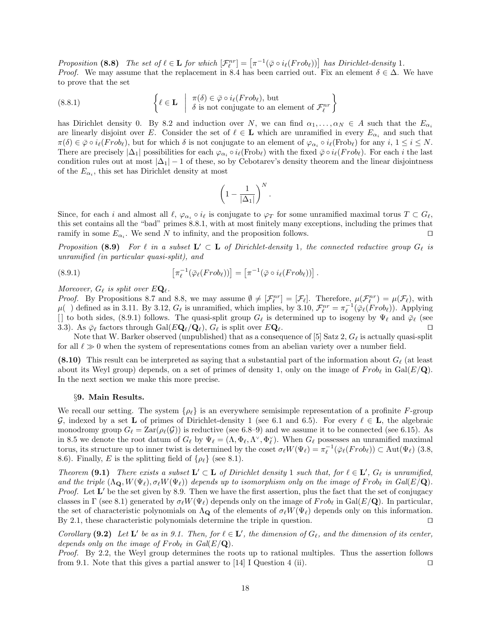Proposition (8.8) The set of  $\ell \in L$  for which  $[\mathcal{F}_{\ell}^{nr}] = [\pi^{-1}(\bar{\varphi} \circ i_{\ell}(Frob_{\ell}))]$  has Dirichlet-density 1. *Proof.* We may assume that the replacement in 8.4 has been carried out. Fix an element  $\delta \in \Delta$ . We have to prove that the set

(8.8.1) 
$$
\left\{\ell \in \mathbf{L} \mid \pi(\delta) \in \bar{\varphi} \circ i_{\ell}(Frob_{\ell}), \text{ but } \delta \text{ is not conjugate to an element of } \mathcal{F}_{\ell}^{nr}\right\}
$$

has Dirichlet density 0. By 8.2 and induction over N, we can find  $\alpha_1, \ldots, \alpha_N \in A$  such that the  $E_{\alpha_i}$ are linearly disjoint over E. Consider the set of  $\ell \in \mathbf{L}$  which are unramified in every  $E_{\alpha_i}$  and such that  $\pi(\delta) \in \bar{\varphi} \circ i_{\ell}(Frob_{\ell}),$  but for which  $\delta$  is not conjugate to an element of  $\varphi_{\alpha_i} \circ i_{\ell}(\text{Frob}_{\ell})$  for any  $i, 1 \leq i \leq N$ . There are precisely  $|\Delta_1|$  possibilities for each  $\varphi_{\alpha_i} \circ i_\ell(\text{Frob}_\ell)$  with the fixed  $\bar{\varphi} \circ i_\ell(\text{Frob}_\ell)$ . For each i the last condition rules out at most  $|\Delta_1| - 1$  of these, so by Cebotarev's density theorem and the linear disjointness of the  $E_{\alpha_i}$ , this set has Dirichlet density at most

$$
\left(1 - \frac{1}{|\Delta_1|}\right)^N.
$$

Since, for each i and almost all  $\ell$ ,  $\varphi_{\alpha_i} \circ i_\ell$  is conjugate to  $\varphi_T$  for some unramified maximal torus  $T \subset G_\ell$ , this set contains all the "bad" primes 8.8.1, with at most finitely many exceptions, including the primes that ramify in some  $E_{\alpha_i}$ . We send N to infinity, and the proposition follows.

Proposition (8.9) For  $\ell$  in a subset  $\mathbf{L}' \subset \mathbf{L}$  of Dirichlet-density 1, the connected reductive group  $G_{\ell}$  is unramified (in particular quasi-split), and

(8.9.1) 
$$
\left[\pi_{\ell}^{-1}(\bar{\varphi}_{\ell}(Frob_{\ell}))\right] = \left[\pi^{-1}(\bar{\varphi} \circ i_{\ell}(Frob_{\ell}))\right].
$$

## Moreover,  $G_{\ell}$  is split over  $E\mathbf{Q}_{\ell}$ .

*Proof.* By Propositions 8.7 and 8.8, we may assume  $\emptyset \neq [\mathcal{F}_{\ell}^{nr}] = [\mathcal{F}_{\ell}]$ . Therefore,  $\mu(\mathcal{F}_{\ell}^{nr}) = \mu(\mathcal{F}_{\ell})$ , with  $\mu$ ( ) defined as in 3.11. By 3.12,  $G_{\ell}$  is unramified, which implies, by 3.10,  $\mathcal{F}_{\ell}^{nr} = \pi_{\ell}^{-1}(\bar{\varphi}_{\ell}(Frob_{\ell}))$ . Applying [] to both sides, (8.9.1) follows. The quasi-split group  $G_\ell$  is determined up to isogeny by  $\Psi_\ell$  and  $\bar{\varphi}_\ell$  (see 3.3). As  $\bar{\varphi}_{\ell}$  factors through Gal( $E\mathbf{Q}_{\ell}/\mathbf{Q}_{\ell}$ ),  $G_{\ell}$  is split over  $E\mathbf{Q}_{\ell}$ .

Note that W. Barker observed (unpublished) that as a consequence of [5] Satz 2,  $G_\ell$  is actually quasi-split for all  $\ell \gg 0$  when the system of representations comes from an abelian variety over a number field.

(8.10) This result can be interpreted as saying that a substantial part of the information about  $G_\ell$  (at least about its Weyl group) depends, on a set of primes of density 1, only on the image of  $Frob_\ell$  in Gal( $E/\mathbf{Q}$ ). In the next section we make this more precise.

### §9. Main Results.

We recall our setting. The system  $\{\rho_{\ell}\}\$ is an everywhere semisimple representation of a profinite F-group G, indexed by a set L of primes of Dirichlet-density 1 (see 6.1 and 6.5). For every  $\ell \in L$ , the algebraic monodromy group  $G_\ell = \text{Zar}(\rho_\ell(\mathcal{G}))$  is reductive (see 6.8–9) and we assume it to be connected (see 6.15). As in 8.5 we denote the root datum of  $G_\ell$  by  $\Psi_\ell = (\Lambda, \Phi_\ell, \Lambda^\vee, \Phi_\ell^\vee)$ . When  $G_\ell$  possesses an unramified maximal torus, its structure up to inner twist is determined by the coset  $\sigma_{\ell}W(\Psi_{\ell}) = \pi_{\ell}^{-1}(\bar{\varphi}_{\ell}(Frob_{\ell})) \subset \text{Aut}(\Psi_{\ell})$  (3.8, 8.6). Finally, E is the splitting field of  $\{\rho_{\ell}\}\$  (see 8.1).

Theorem (9.1) There exists a subset  $\mathbf{L}' \subset \mathbf{L}$  of Dirichlet density 1 such that, for  $\ell \in \mathbf{L}'$ ,  $G_{\ell}$  is unramified, and the triple  $(\Lambda_{\mathbf{Q}}, W(\Psi_{\ell}), \sigma_{\ell}W(\Psi_{\ell}))$  depends up to isomorphism only on the image of Frob<sub>l</sub> in Gal(E/Q). *Proof.* Let  $L'$  be the set given by 8.9. Then we have the first assertion, plus the fact that the set of conjugacy classes in Γ (see 8.1) generated by  $\sigma_\ell W(\Psi_\ell)$  depends only on the image of  $Frob_\ell$  in Gal( $E/\mathbf{Q}$ ). In particular, the set of characteristic polynomials on  $\Lambda_{\mathbf{Q}}$  of the elements of  $\sigma_{\ell}W(\Psi_{\ell})$  depends only on this information. By 2.1, these characteristic polynomials determine the triple in question.  $\square$ 

Corollary (9.2) Let L' be as in 9.1. Then, for  $\ell \in L'$ , the dimension of  $G_{\ell}$ , and the dimension of its center, depends only on the image of  $Frob$  in  $Gal(E/\mathbf{Q})$ .

Proof. By 2.2, the Weyl group determines the roots up to rational multiples. Thus the assertion follows from 9.1. Note that this gives a partial answer to [14] I Question 4 (ii).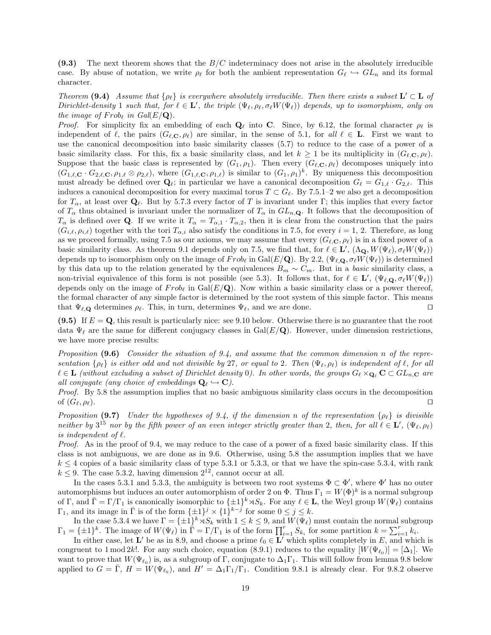(9.3) The next theorem shows that the  $B/C$  indeterminacy does not arise in the absolutely irreducible case. By abuse of notation, we write  $\rho_\ell$  for both the ambient representation  $G_\ell \hookrightarrow GL_n$  and its formal character.

Theorem (9.4) Assume that  $\{\rho_\ell\}$  is everywhere absolutely irreducible. Then there exists a subset  $\mathbf{L}' \subset \mathbf{L}$  of Dirichlet-density 1 such that, for  $\ell \in \mathbf{L}'$ , the triple  $(\Psi_{\ell}, \rho_{\ell}, \sigma_{\ell}W(\Psi_{\ell}))$  depends, up to isomorphism, only on the image of  $Frob_{\ell}$  in  $Gal(E/\mathbf{Q})$ .

*Proof.* For simplicity fix an embedding of each  $\mathbf{Q}_\ell$  into C. Since, by 6.12, the formal character  $\rho_\ell$  is independent of  $\ell$ , the pairs  $(G_{\ell,\mathbf{C}}, \rho_{\ell})$  are similar, in the sense of 5.1, for all  $\ell \in \mathbf{L}$ . First we want to use the canonical decomposition into basic similarity classes (5.7) to reduce to the case of a power of a basic similarity class. For this, fix a basic similarity class, and let  $k \geq 1$  be its multiplicity in  $(G_{\ell,\mathbf{C}}, \rho_{\ell}).$ Suppose that the basic class is represented by  $(G_1, \rho_1)$ . Then every  $(G_{\ell, \mathbf{C}}, \rho_{\ell})$  decomposes uniquely into  $(G_{1,\ell,\mathbf{C}} \cdot G_{2,\ell,\mathbf{C}}, \rho_{1,\ell} \otimes \rho_{2,\ell}),$  where  $(G_{1,\ell,\mathbf{C}}, \rho_{1,\ell})$  is similar to  $(G_1, \rho_1)^k$ . By uniqueness this decomposition must already be defined over  $\mathbf{Q}_{\ell}$ ; in particular we have a canonical decomposition  $G_{\ell} = G_{1,\ell} \cdot G_{2,\ell}$ . This induces a canonical decomposition for every maximal torus  $T \subset G_{\ell}$ . By 7.5.1–2 we also get a decomposition for  $T_\alpha$ , at least over  $\mathbf{Q}_\ell$ . But by 5.7.3 every factor of T is invariant under Γ; this implies that every factor of  $T_{\alpha}$  thus obtained is invariant under the normalizer of  $T_{\alpha}$  in  $GL_{n,\mathbf{Q}}$ . It follows that the decomposition of  $T_{\alpha}$  is defined over Q. If we write it  $T_{\alpha} = T_{\alpha,1} \cdot T_{\alpha,2}$ , then it is clear from the construction that the pairs  $(G_{i,\ell}, \rho_{i,\ell})$  together with the tori  $T_{\alpha,i}$  also satisfy the conditions in 7.5, for every  $i = 1, 2$ . Therefore, as long as we proceed formally, using 7.5 as our axioms, we may assume that every  $(G_{\ell,\mathbf{C}}, \rho_{\ell})$  is in a fixed power of a basic similarity class. As theorem 9.1 depends only on 7.5, we find that, for  $\ell \in L'$ ,  $(\Lambda_{\mathbf{Q}}, W(\Psi_{\ell}), \sigma_{\ell}W(\Psi_{\ell}))$ depends up to isomorphism only on the image of  $Frob_\ell$  in Gal( $E/\mathbf{Q}$ ). By 2.2,  $(\Psi_{\ell,\mathbf{Q}}, \sigma_\ell W(\Psi_\ell))$  is determined by this data up to the relation generated by the equivalences  $B_m \sim C_m$ . But in a basic similarity class, a non-trivial equivalence of this form is not possible (see 5.3). It follows that, for  $\ell \in L'$ ,  $(\Psi_{\ell, \mathbf{Q}}, \sigma_{\ell}W(\Psi_{\ell}))$ depends only on the image of  $Frob_\ell$  in Gal( $E/\mathbf{Q}$ ). Now within a basic similarity class or a power thereof, the formal character of any simple factor is determined by the root system of this simple factor. This means that  $\Psi_{\ell,\mathbf{Q}}$  determines  $\rho_{\ell}$ . This, in turn, determines  $\Psi_{\ell}$ , and we are done.  $\square$ 

(9.5) If  $E = \mathbf{Q}$ , this result is particularly nice: see 9.10 below. Otherwise there is no guarantee that the root data  $\Psi_{\ell}$  are the same for different conjugacy classes in Gal( $E/\mathbf{Q}$ ). However, under dimension restrictions, we have more precise results:

Proposition  $(9.6)$  Consider the situation of 9.4, and assume that the common dimension n of the representation  $\{\rho_\ell\}$  is either odd and not divisible by 27, or equal to 2. Then  $(\Psi_\ell, \rho_\ell)$  is independent of  $\ell$ , for all  $\ell \in L$  (without excluding a subset of Dirichlet density 0). In other words, the groups  $G_\ell \times_{\mathbf{Q}_\ell} \mathbf{C} \subset GL_n, \mathbf{C}$  are all conjugate (any choice of embeddings  $\mathbf{Q}_{\ell} \hookrightarrow \mathbf{C}$ ).

Proof. By 5.8 the assumption implies that no basic ambiguous similarity class occurs in the decomposition of  $(G_{\ell}, \rho_{\ell}).$ 

Proposition (9.7) Under the hypotheses of 9.4, if the dimension n of the representation  $\{\rho_\ell\}$  is divisible neither by  $3^{15}$  nor by the fifth power of an even integer strictly greater than 2, then, for all  $\ell \in L'$ ,  $(\Psi_{\ell}, \rho_{\ell})$ is independent of  $\ell$ .

Proof. As in the proof of 9.4, we may reduce to the case of a power of a fixed basic similarity class. If this class is not ambiguous, we are done as in 9.6. Otherwise, using 5.8 the assumption implies that we have  $k \leq 4$  copies of a basic similarity class of type 5.3.1 or 5.3.3, or that we have the spin-case 5.3.4, with rank  $k \leq 9$ . The case 5.3.2, having dimension  $2^{12}$ , cannot occur at all.

In the cases 5.3.1 and 5.3.3, the ambiguity is between two root systems  $\Phi \subset \Phi'$ , where  $\Phi'$  has no outer automorphisms but induces an outer automorphism of order 2 on  $\Phi$ . Thus  $\Gamma_1 = W(\Phi)^k$  is a normal subgroup of Γ, and  $\bar{\Gamma} = \Gamma/\Gamma_1$  is canonically isomorphic to  $\{\pm 1\}^k \rtimes S_k$ . For any  $\ell \in \mathbf{L}$ , the Weyl group  $W(\Psi_\ell)$  contains  $\Gamma_1$ , and its image in  $\bar{\Gamma}$  is of the form  $\{\pm 1\}^j \times \{1\}^{k-j}$  for some  $0 \le j \le k$ .

In the case 5.3.4 we have  $\Gamma = \{\pm 1\}^k \rtimes S_k$  with  $1 \leq k \leq 9$ , and  $W(\Psi_\ell)$  must contain the normal subgroup  $\Gamma_1 = {\pm 1}^k$ . The image of  $W(\Psi_\ell)$  in  $\tilde{\Gamma} = \Gamma/\Gamma_1$  is of the form  $\prod_{i=1}^r S_{k_i}$  for some partition  $k = \sum_{i=1}^r k_i$ .

In either case, let L' be as in 8.9, and choose a prime  $\ell_0 \in L'$  which splits completely in E, and which is congruent to 1 mod 2k!. For any such choice, equation (8.9.1) reduces to the equality  $[W(\Psi_{\ell_0})] = [\Delta_1]$ . We want to prove that  $W(\Psi_{\ell_0})$  is, as a subgroup of Γ, conjugate to  $\Delta_1\Gamma_1$ . This will follow from lemma 9.8 below applied to  $G = \overline{\Gamma}$ ,  $H = W(\Psi_{\ell_0})$ , and  $H' = \Delta_1 \Gamma_1/\Gamma_1$ . Condition 9.8.1 is already clear. For 9.8.2 observe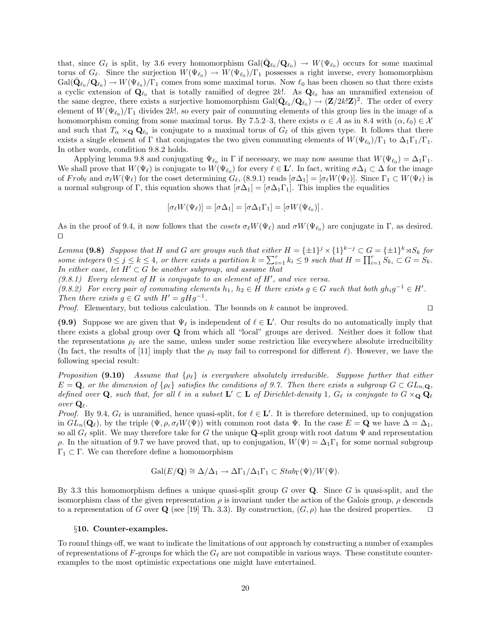that, since  $G_{\ell}$  is split, by 3.6 every homomorphism  $Gal(\bar{\mathbf{Q}}_{\ell_0}/\mathbf{Q}_{\ell_0}) \to W(\Psi_{\ell_0})$  occurs for some maximal torus of  $G_\ell$ . Since the surjection  $W(\Psi_{\ell_0}) \to W(\Psi_{\ell_0})/\Gamma_1$  possesses a right inverse, every homomorphism  $Gal(\bar{\mathbf{Q}}_{\ell_0}/\mathbf{Q}_{\ell_0}) \to W(\Psi_{\ell_0})/\Gamma_1$  comes from some maximal torus. Now  $\ell_0$  has been chosen so that there exists a cyclic extension of  $\mathbf{Q}_{\ell_0}$  that is totally ramified of degree 2k!. As  $\mathbf{Q}_{\ell_0}$  has an unramified extension of the same degree, there exists a surjective homomorphism  $Gal(\bar{\mathbf{Q}}_{\ell_0}/\mathbf{Q}_{\ell_0}) \to (\mathbf{Z}/2k!\mathbf{Z})^2$ . The order of every element of  $W(\Psi_{\ell_0})/\Gamma_1$  divides 2k!, so every pair of commuting elements of this group lies in the image of a homomorphism coming from some maximal torus. By 7.5.2–3, there exists  $\alpha \in A$  as in 8.4 with  $(\alpha, \ell_0) \in \mathcal{X}$ and such that  $T_\alpha \times_Q \mathbf{Q}_{\ell_0}$  is conjugate to a maximal torus of  $G_\ell$  of this given type. It follows that there exists a single element of  $\Gamma$  that conjugates the two given commuting elements of  $W(\Psi_{\ell_0})/\Gamma_1$  to  $\Delta_1\Gamma_1/\Gamma_1$ . In other words, condition 9.8.2 holds.

Applying lemma 9.8 and conjugating  $\Psi_{\ell_0}$  in  $\Gamma$  if necessary, we may now assume that  $W(\Psi_{\ell_0}) = \Delta_1 \Gamma_1$ . We shall prove that  $W(\Psi_{\ell})$  is conjugate to  $W(\Psi_{\ell_0})$  for every  $\ell \in \mathbf{L}'$ . In fact, writing  $\sigma \Delta_1 \subset \Delta$  for the image of  $Frob_\ell$  and  $\sigma_\ell W(\Psi_\ell)$  for the coset determining  $G_\ell$ , (8.9.1) reads  $[\sigma \Delta_1] = [\sigma_\ell W(\Psi_\ell)]$ . Since  $\Gamma_1 \subset W(\Psi_\ell)$  is a normal subgroup of Γ, this equation shows that  $[\sigma \Delta_1] = [\sigma \Delta_1 \Gamma_1]$ . This implies the equalities

$$
[\sigma_{\ell}W(\Psi_{\ell})] = [\sigma \Delta_1] = [\sigma \Delta_1 \Gamma_1] = [\sigma W(\Psi_{\ell_0})].
$$

As in the proof of 9.4, it now follows that the cosets  $\sigma_\ell W(\Psi_\ell)$  and  $\sigma W(\Psi_{\ell_0})$  are conjugate in  $\Gamma$ , as desired.  $\Box$ 

Lemma (9.8) Suppose that H and G are groups such that either  $H = {\pm 1}^j \times {1}^{k-j} \subset G = {\pm 1}^k \rtimes S_k$  for some integers  $0 \leq j \leq k \leq 4$ , or there exists a partition  $k = \sum_{i=1}^{r} k_i \leq 9$  such that  $H = \prod_{i=1}^{r} S_{k_i} \subset G = S_k$ . In either case, let  $H' \subset G$  be another subgroup, and assume that

 $(9.8.1)$  Every element of H is conjugate to an element of H', and vice versa.

(9.8.2) For every pair of commuting elements  $h_1, h_2 \in H$  there exists  $g \in G$  such that both  $gh_ig^{-1} \in H'$ . Then there exists  $g \in G$  with  $H' = gHg^{-1}$ .

*Proof.* Elementary, but tedious calculation. The bounds on  $k$  cannot be improved.  $\square$ 

(9.9) Suppose we are given that  $\Psi_\ell$  is independent of  $\ell \in L'$ . Our results do no automatically imply that there exists a global group over Q from which all "local" groups are derived. Neither does it follow that the representations  $\rho_{\ell}$  are the same, unless under some restriction like everywhere absolute irreducibility (In fact, the results of [11] imply that the  $\rho_{\ell}$  may fail to correspond for different  $\ell$ ). However, we have the following special result:

Proposition (9.10) Assume that  $\{\rho_\ell\}$  is everywhere absolutely irreducible. Suppose further that either  $E = \mathbf{Q}$ , or the dimension of  $\{\rho_{\ell}\}\$  satisfies the conditions of 9.7. Then there exists a subgroup  $G \subset GL_n$ , defined over Q, such that, for all  $\ell$  in a subset  $L' \subset L$  of Dirichlet-density 1,  $G_{\ell}$  is conjugate to  $G \times_Q Q_{\ell}$ over  $\mathbf{Q}_{\ell}$ .

*Proof.* By 9.4,  $G_{\ell}$  is unramified, hence quasi-split, for  $\ell \in \mathbf{L}'$ . It is therefore determined, up to conjugation in  $GL_n(\mathbf{Q}_\ell)$ , by the triple  $(\Psi, \rho, \sigma_\ell W(\Psi))$  with common root data  $\Psi$ . In the case  $E = \mathbf{Q}$  we have  $\Delta = \Delta_1$ , so all  $G_{\ell}$  split. We may therefore take for G the unique Q-split group with root datum  $\Psi$  and representation ρ. In the situation of 9.7 we have proved that, up to conjugation,  $W(\Psi) = \Delta_1 \Gamma_1$  for some normal subgroup  $\Gamma_1 \subset \Gamma$ . We can therefore define a homomorphism

$$
\operatorname{Gal}(E/\mathbf{Q}) \cong \Delta/\Delta_1 \to \Delta\Gamma_1/\Delta_1\Gamma_1 \subset Stab_{\Gamma}(\Psi)/W(\Psi).
$$

By 3.3 this homomorphism defines a unique quasi-split group  $G$  over  $Q$ . Since  $G$  is quasi-split, and the isomorphism class of the given representation  $\rho$  is invariant under the action of the Galois group,  $\rho$  descends to a representation of G over Q (see [19] Th. 3.3). By construction,  $(G, \rho)$  has the desired properties.  $\Box$ 

## §10. Counter-examples.

To round things off, we want to indicate the limitations of our approach by constructing a number of examples of representations of F-groups for which the  $G_\ell$  are not compatible in various ways. These constitute counterexamples to the most optimistic expectations one might have entertained.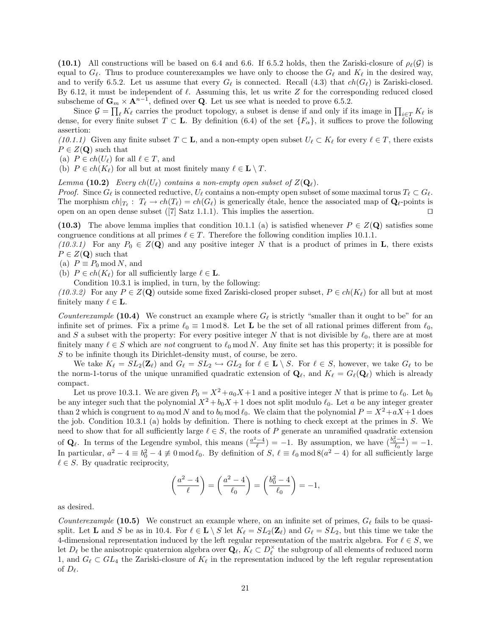(10.1) All constructions will be based on 6.4 and 6.6. If 6.5.2 holds, then the Zariski-closure of  $\rho_{\ell}(\mathcal{G})$  is equal to  $G_\ell$ . Thus to produce counterexamples we have only to choose the  $G_\ell$  and  $K_\ell$  in the desired way, and to verify 6.5.2. Let us assume that every  $G_{\ell}$  is connected. Recall (4.3) that  $ch(G_{\ell})$  is Zariski-closed. By 6.12, it must be independent of  $\ell$ . Assuming this, let us write Z for the corresponding reduced closed subscheme of  $\mathbf{G}_m \times \mathbf{A}^{n-1}$ , defined over **Q**. Let us see what is needed to prove 6.5.2.

Since  $\mathcal{G} = \prod_{\ell} K_{\ell}$  carries the product topology, a subset is dense if and only if its image in  $\prod_{i\in T} K_{\ell}$  is dense, for every finite subset  $T \subset \mathbf{L}$ . By definition (6.4) of the set  $\{F_{\alpha}\}\)$ , it suffices to prove the following assertion:

(10.1.1) Given any finite subset  $T \subset \mathbf{L}$ , and a non-empty open subset  $U_\ell \subset K_\ell$  for every  $\ell \in T$ , there exists  $P \in Z(\mathbf{Q})$  such that

(a)  $P \in ch(U_\ell)$  for all  $\ell \in T$ , and

(b)  $P \in ch(K_{\ell})$  for all but at most finitely many  $\ell \in L \setminus T$ .

Lemma (10.2) Every  $ch(U_\ell)$  contains a non-empty open subset of  $Z(\mathbf{Q}_\ell)$ .

*Proof.* Since  $G_\ell$  is connected reductive,  $U_\ell$  contains a non-empty open subset of some maximal torus  $T_\ell \subset G_\ell$ . The morphism  $ch|_{T_\ell}: T_\ell \to ch(T_\ell) = ch(G_\ell)$  is generically étale, hence the associated map of  $\mathbf{Q}_\ell$ -points is open on an open dense subset  $([7]$  Satz 1.1.1). This implies the assertion.

(10.3) The above lemma implies that condition 10.1.1 (a) is satisfied whenever  $P \in Z(\mathbf{Q})$  satisfies some congruence conditions at all primes  $\ell \in T$ . Therefore the following condition implies 10.1.1.

(10.3.1) For any  $P_0 \in Z(\mathbf{Q})$  and any positive integer N that is a product of primes in **L**, there exists  $P \in Z(\mathbf{Q})$  such that

(a)  $P \equiv P_0 \bmod N$ , and

(b)  $P \in ch(K_{\ell})$  for all sufficiently large  $\ell \in \mathbf{L}$ .

Condition 10.3.1 is implied, in turn, by the following:

(10.3.2) For any  $P \in Z(\mathbf{Q})$  outside some fixed Zariski-closed proper subset,  $P \in ch(K_{\ell})$  for all but at most finitely many  $\ell \in \mathbf{L}$ .

Counterexample (10.4) We construct an example where  $G_{\ell}$  is strictly "smaller than it ought to be" for an infinite set of primes. Fix a prime  $\ell_0 \equiv 1 \mod 8$ . Let **L** be the set of all rational primes different from  $\ell_0$ , and S a subset with the property: For every positive integer N that is not divisible by  $\ell_0$ , there are at most finitely many  $\ell \in S$  which are not congruent to  $\ell_0$  mod N. Any finite set has this property; it is possible for S to be infinite though its Dirichlet-density must, of course, be zero.

We take  $K_\ell = SL_2(\mathbf{Z}_\ell)$  and  $G_\ell = SL_2 \hookrightarrow GL_2$  for  $\ell \in \mathbf{L} \setminus S$ . For  $\ell \in S$ , however, we take  $G_\ell$  to be the norm-1-torus of the unique unramified quadratic extension of  $\mathbf{Q}_\ell$ , and  $K_\ell = G_\ell(\mathbf{Q}_\ell)$  which is already compact.

Let us prove 10.3.1. We are given  $P_0 = X^2 + a_0 X + 1$  and a positive integer N that is prime to  $\ell_0$ . Let  $b_0$ be any integer such that the polynomial  $X^2 + b_0X + 1$  does not split modulo  $\ell_0$ . Let a be any integer greater than 2 which is congruent to  $a_0 \mod N$  and to  $b_0 \mod \ell_0$ . We claim that the polynomial  $P = X^2 + aX + 1$  does the job. Condition 10.3.1 (a) holds by definition. There is nothing to check except at the primes in  $S$ . We need to show that for all sufficiently large  $\ell \in S$ , the roots of P generate an unramified quadratic extension of  $\mathbf{Q}_{\ell}$ . In terms of the Legendre symbol, this means  $\left( \frac{a^2-4}{\ell} \right) = -1$ . By assumption, we have  $\left( \frac{b_0^2-4}{\ell_0} \right) = -1$ . In particular,  $a^2 - 4 \equiv b_0^2 - 4 \not\equiv 0 \mod l_0$ . By definition of  $S, \ell \equiv l_0 \mod l_0^2 - 4$  for all sufficiently large  $\ell \in S$ . By quadratic reciprocity,

$$
\left(\frac{a^2 - 4}{\ell}\right) = \left(\frac{a^2 - 4}{\ell_0}\right) = \left(\frac{b_0^2 - 4}{\ell_0}\right) = -1,
$$

as desired.

Counterexample (10.5) We construct an example where, on an infinite set of primes,  $G_{\ell}$  fails to be quasisplit. Let **L** and S be as in 10.4. For  $\ell \in L \setminus S$  let  $K_{\ell} = SL_2(\mathbb{Z}_{\ell})$  and  $G_{\ell} = SL_2$ , but this time we take the 4-dimensional representation induced by the left regular representation of the matrix algebra. For  $\ell \in S$ , we Let  $D_\ell$  be the anisotropic quaternion algebra over  $\mathbf{Q}_\ell, K_\ell \subset D_\ell^\times$  the subgroup of all elements of reduced norm 1, and  $G_\ell \subset GL_4$  the Zariski-closure of  $K_\ell$  in the representation induced by the left regular representation of  $D_{\ell}$ .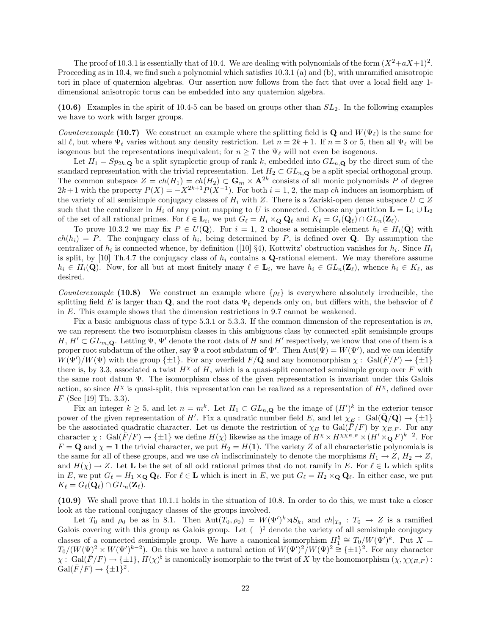The proof of 10.3.1 is essentially that of 10.4. We are dealing with polynomials of the form  $(X^2+aX+1)^2$ . Proceeding as in 10.4, we find such a polynomial which satisfies 10.3.1 (a) and (b), with unramified anisotropic tori in place of quaternion algebras. Our assertion now follows from the fact that over a local field any 1 dimensional anisotropic torus can be embedded into any quaternion algebra.

(10.6) Examples in the spirit of 10.4-5 can be based on groups other than  $SL_2$ . In the following examples we have to work with larger groups.

Counterexample (10.7) We construct an example where the splitting field is Q and  $W(\Psi_{\ell})$  is the same for all  $\ell$ , but where  $\Psi_\ell$  varies without any density restriction. Let  $n = 2k + 1$ . If  $n = 3$  or 5, then all  $\Psi_\ell$  will be isogenous but the representations inequivalent; for  $n \geq 7$  the  $\Psi_\ell$  will not even be isogenous.

Let  $H_1 = Sp_{2k,\mathbf{Q}}$  be a split symplectic group of rank k, embedded into  $GL_{n,\mathbf{Q}}$  by the direct sum of the standard representation with the trivial representation. Let  $H_2 \subset GL_{n,\mathbf{Q}}$  be a split special orthogonal group. The common subspace  $Z = ch(H_1) = ch(H_2) \subset \mathbf{G}_m \times \mathbf{A}^{2k}$  consists of all monic polynomials P of degree  $2k+1$  with the property  $P(X) = -X^{2k+1}P(X^{-1})$ . For both  $i = 1, 2$ , the map ch induces an isomorphism of the variety of all semisimple conjugacy classes of  $H_i$  with Z. There is a Zariski-open dense subspace  $U \subset Z$ such that the centralizer in  $H_i$  of any point mapping to U is connected. Choose any partition  $\mathbf{L} = \mathbf{L}_1 \cup \mathbf{L}_2$ of the set of all rational primes. For  $\ell \in \mathbf{L}_i$ , we put  $G_\ell = H_i \times_{\mathbf{Q}} \mathbf{Q}_\ell$  and  $K_\ell = G_i(\mathbf{Q}_\ell) \cap GL_n(\mathbf{Z}_\ell)$ .

To prove 10.3.2 we may fix  $P \in U(\mathbf{Q})$ . For  $i = 1, 2$  choose a semisimple element  $h_i \in H_i(\bar{\mathbf{Q}})$  with  $ch(h_i) = P$ . The conjugacy class of  $h_i$ , being determined by P, is defined over **Q**. By assumption the centralizer of  $h_i$  is connected whence, by definition ([10] §4), Kottwitz' obstruction vanishes for  $h_i$ . Since  $H_i$ is split, by [10] Th.4.7 the conjugacy class of  $h_i$  contains a Q-rational element. We may therefore assume  $h_i \in H_i(\mathbf{Q})$ . Now, for all but at most finitely many  $\ell \in \mathbf{L}_i$ , we have  $h_i \in GL_n(\mathbf{Z}_\ell)$ , whence  $h_i \in K_\ell$ , as desired.

Counterexample (10.8) We construct an example where  $\{\rho_{\ell}\}\$ is everywhere absolutely irreducible, the splitting field E is larger than Q, and the root data  $\Psi_\ell$  depends only on, but differs with, the behavior of  $\ell$ in E. This example shows that the dimension restrictions in 9.7 cannot be weakened.

Fix a basic ambiguous class of type 5.3.1 or 5.3.3. If the common dimension of the representation is m, we can represent the two isomorphism classes in this ambiguous class by connected split semisimple groups  $H, H' \subset GL_{m,\mathbf{Q}}.$  Letting  $\Psi, \Psi'$  denote the root data of H and H' respectively, we know that one of them is a proper root subdatum of the other, say  $\Psi$  a root subdatum of  $\Psi'$ . Then  $Aut(\Psi) = W(\Psi')$ , and we can identify  $W(\Psi)/W(\Psi)$  with the group  $\{\pm 1\}$ . For any overfield  $F/Q$  and any homomorphism  $\chi: Gal(\overline{F}/F) \to {\pm 1}$ there is, by 3.3, associated a twist  $H^{\chi}$  of H, which is a quasi-split connected semisimple group over F with the same root datum  $\Psi$ . The isomorphism class of the given representation is invariant under this Galois action, so since  $H^{\chi}$  is quasi-split, this representation can be realized as a representation of  $H^{\chi}$ , defined over F (See [19] Th. 3.3).

Fix an integer  $k \geq 5$ , and let  $n = m^k$ . Let  $H_1 \subset GL_{n,\mathbf{Q}}$  be the image of  $(H')^k$  in the exterior tensor power of the given representation of H'. Fix a quadratic number field E, and let  $\chi_E$ : Gal( $\bar{Q}/Q$ )  $\rightarrow \{\pm 1\}$ be the associated quadratic character. Let us denote the restriction of  $\chi_E$  to Gal( $\bar{F}/F$ ) by  $\chi_{E,F}$ . For any character  $\chi: \text{ Gal}(\bar{F}/F) \to \{\pm 1\}$  we define  $H(\chi)$  likewise as the image of  $H^{\chi} \times H^{\chi \chi_{E,F}} \times (H' \times_{\mathbf{Q}} F)^{k-2}$ . For  $F = \mathbf{Q}$  and  $\chi = \mathbf{1}$  the trivial character, we put  $H_2 = H(\mathbf{1})$ . The variety Z of all characteristic polynomials is the same for all of these groups, and we use ch indiscriminately to denote the morphisms  $H_1 \to Z$ ,  $H_2 \to Z$ , and  $H(\chi) \to Z$ . Let **L** be the set of all odd rational primes that do not ramify in E. For  $\ell \in L$  which splits in E, we put  $G_\ell = H_1 \times_{\mathbf{Q}} \mathbf{Q}_\ell$ . For  $\ell \in \mathbf{L}$  which is inert in E, we put  $G_\ell = H_2 \times_{\mathbf{Q}} \mathbf{Q}_\ell$ . In either case, we put  $K_{\ell} = G_{\ell}(\mathbf{Q}_{\ell}) \cap GL_n(\mathbf{Z}_{\ell}).$ 

(10.9) We shall prove that 10.1.1 holds in the situation of 10.8. In order to do this, we must take a closer look at the rational conjugacy classes of the groups involved.

Let  $T_0$  and  $\rho_0$  be as in 8.1. Then  $\text{Aut}(T_0, \rho_0) = W(\Psi')^k \rtimes S_k$ , and  $ch|_{T_0} : T_0 \to Z$  is a ramified Galois covering with this group as Galois group. Let  $( \ )^{\natural}$  denote the variety of all semisimple conjugacy classes of a connected semisimple group. We have a canonical isomorphism  $H_1^{\natural} \cong T_0/W(\Psi')^k$ . Put  $X =$  $T_0/(W(\Psi))^2 \times W(\Psi')^{k-2}$ . On this we have a natural action of  $W(\Psi')^2/W(\Psi)^2 \cong {\pm 1}^2$ . For any character  $\chi: \text{Gal}(\overline{F}/F) \to \{\pm 1\}, H(\chi)^{\natural}$  is canonically isomorphic to the twist of X by the homomorphism  $(\chi, \chi \chi_{E,F})$ :  $Gal(\overline{F}/F) \rightarrow {\pm 1}^2.$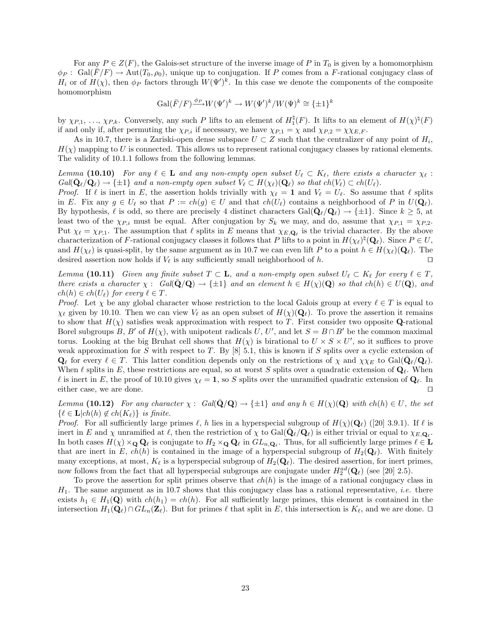For any  $P \in Z(F)$ , the Galois-set structure of the inverse image of P in  $T_0$  is given by a homomorphism  $\phi_P$ : Gal( $\overline{F}/F$ )  $\rightarrow$  Aut( $T_0, \rho_0$ ), unique up to conjugation. If P comes from a F-rational conjugacy class of  $H_i$  or of  $H(\chi)$ , then  $\phi_P$  factors through  $W(\Psi')^k$ . In this case we denote the components of the composite homomorphism

$$
\operatorname{Gal}(\bar{F}/F) \xrightarrow{\phi_P} W(\Psi')^k \to W(\Psi')^k / W(\Psi)^k \cong {\{\pm 1\}}^k
$$

by  $\chi_{P,1}, \ldots, \chi_{P,k}$ . Conversely, any such P lifts to an element of  $H_1^{\natural}(F)$ . It lifts to an element of  $H(\chi)^{\natural}(F)$ if and only if, after permuting the  $\chi_{P,i}$  if necessary, we have  $\chi_{P,1} = \chi$  and  $\chi_{P,2} = \chi \chi_{E,F}$ .

As in 10.7, there is a Zariski-open dense subspace  $U \subset Z$  such that the centralizer of any point of  $H_i$ ,  $H(\chi)$  mapping to U is connected. This allows us to represent rational conjugacy classes by rational elements. The validity of 10.1.1 follows from the following lemmas.

Lemma (10.10) For any  $\ell \in L$  and any non-empty open subset  $U_{\ell} \subset K_{\ell}$ , there exists a character  $\chi_{\ell}$ :  $Gal(\bar{\mathbf{Q}}_{\ell}/\mathbf{Q}_{\ell}) \rightarrow {\pm 1}$  and a non-empty open subset  $V_{\ell} \subset H(\chi_{\ell})(\mathbf{Q}_{\ell})$  so that  $ch(V_{\ell}) \subset ch(U_{\ell}).$ 

*Proof.* If  $\ell$  is inert in E, the assertion holds trivially with  $\chi_{\ell} = 1$  and  $V_{\ell} = U_{\ell}$ . So assume that  $\ell$  splits in E. Fix any  $g \in U_\ell$  so that  $P := ch(g) \in U$  and that  $ch(U_\ell)$  contains a neighborhood of P in  $U(\mathbf{Q}_\ell)$ . By hypothesis,  $\ell$  is odd, so there are precisely 4 distinct characters  $Gal(\bar{Q}_{\ell}/Q_{\ell}) \to {\pm 1}$ . Since  $k \geq 5$ , at least two of the  $\chi_{P,i}$  must be equal. After conjugation by  $S_k$  we may, and do, assume that  $\chi_{P,1} = \chi_{P,2}$ . Put  $\chi_{\ell} = \chi_{P,1}$ . The assumption that  $\ell$  splits in E means that  $\chi_{E,\mathbf{Q}_{\ell}}$  is the trivial character. By the above characterization of F-rational conjugacy classes it follows that P lifts to a point in  $H(\chi_{\ell})^{\natural}(\mathbf{Q}_{\ell})$ . Since  $P \in U$ , and  $H(\chi_{\ell})$  is quasi-split, by the same argument as in 10.7 we can even lift P to a point  $h \in H(\chi_{\ell})(\mathbf{Q}_{\ell})$ . The desired assertion now holds if  $V_{\ell}$  is any sufficiently small neighborhood of h.  $\square$ 

Lemma (10.11) Given any finite subset  $T \subset \mathbf{L}$ , and a non-empty open subset  $U_{\ell} \subset K_{\ell}$  for every  $\ell \in T$ , there exists a character  $\chi: Gal(\mathbf{Q}/\mathbf{Q}) \to {\{\pm 1\}}$  and an element  $h \in H(\chi)(\mathbf{Q})$  so that  $ch(h) \in U(\mathbf{Q})$ , and  $ch(h) \in ch(U_{\ell})$  for every  $\ell \in T$ .

*Proof.* Let  $\chi$  be any global character whose restriction to the local Galois group at every  $\ell \in T$  is equal to  $\chi_{\ell}$  given by 10.10. Then we can view  $V_{\ell}$  as an open subset of  $H(\chi)(\mathbf{Q}_{\ell})$ . To prove the assertion it remains to show that  $H(\chi)$  satisfies weak approximation with respect to T. First consider two opposite Q-rational Borel subgroups B, B' of  $H(\chi)$ , with unipotent radicals U, U', and let  $S = B \cap B'$  be the common maximal torus. Looking at the big Bruhat cell shows that  $H(\chi)$  is birational to  $U \times S \times U'$ , so it suffices to prove weak approximation for S with respect to T. By  $[8]$  5.1, this is known if S splits over a cyclic extension of  $\mathbf{Q}_{\ell}$  for every  $\ell \in T$ . This latter condition depends only on the restrictions of  $\chi$  and  $\chi \chi_E$  to Gal( $\bar{\mathbf{Q}}_{\ell}/\mathbf{Q}_{\ell}$ ). When  $\ell$  splits in E, these restrictions are equal, so at worst S splits over a quadratic extension of  $\mathbf{Q}_{\ell}$ . When l is inert in E, the proof of 10.10 gives  $\chi_{\ell} = 1$ , so S splits over the unramified quadratic extension of  $\mathbf{Q}_{\ell}$ . In either case, we are done.  $\Box$ 

Lemma (10.12) For any character  $\chi: Gal(\mathbf{Q}/\mathbf{Q}) \to {\pm 1}$  and any  $h \in H(\chi)(\mathbf{Q})$  with ch(h)  $\in U$ , the set  $\{\ell \in \mathbf{L}| ch(h) \notin ch(K_{\ell})\}\$ is finite.

*Proof.* For all sufficiently large primes  $\ell$ , h lies in a hyperspecial subgroup of  $H(\chi)(\mathbf{Q}_\ell)$  ([20] 3.9.1). If  $\ell$  is inert in E and  $\chi$  unramified at  $\ell$ , then the restriction of  $\chi$  to Gal( $\bar{Q}_{\ell}/Q_{\ell}$ ) is either trivial or equal to  $\chi_{E,\mathbf{Q}_{\ell}}$ . In both cases  $H(\chi) \times_{\mathbf{Q}} \mathbf{Q}_\ell$  is conjugate to  $H_2 \times_{\mathbf{Q}} \mathbf{Q}_\ell$  in  $GL_{n,\mathbf{Q}_\ell}$ . Thus, for all sufficiently large primes  $\ell \in \mathbf{L}$ that are inert in E,  $ch(h)$  is contained in the image of a hyperspecial subgroup of  $H_2(\mathbf{Q}_\ell)$ . With finitely many exceptions, at most,  $K_{\ell}$  is a hyperspecial subgroup of  $H_2(\mathbf{Q}_{\ell})$ . The desired assertion, for inert primes, now follows from the fact that all hyperspecial subgroups are conjugate under  $H_2^{ad}(\mathbf{Q}_\ell)$  (see [20] 2.5).

To prove the assertion for split primes observe that  $ch(h)$  is the image of a rational conjugacy class in  $H_1$ . The same argument as in 10.7 shows that this conjugacy class has a rational representative, *i.e.* there exists  $h_1 \in H_1(\mathbf{Q})$  with  $ch(h_1) = ch(h)$ . For all sufficiently large primes, this element is contained in the intersection  $H_1(\mathbf{Q}_\ell) \cap GL_n(\mathbf{Z}_\ell)$ . But for primes  $\ell$  that split in E, this intersection is  $K_\ell$ , and we are done.  $\Box$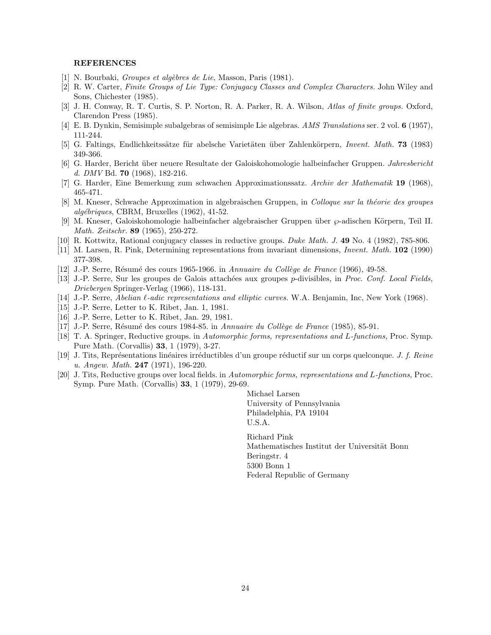### REFERENCES

- [1] N. Bourbaki, *Groupes et algèbres de Lie*, Masson, Paris (1981).
- [2] R. W. Carter, Finite Groups of Lie Type: Conjugacy Classes and Complex Characters. John Wiley and Sons, Chichester (1985).
- [3] J. H. Conway, R. T. Curtis, S. P. Norton, R. A. Parker, R. A. Wilson, Atlas of finite groups. Oxford, Clarendon Press (1985).
- [4] E. B. Dynkin, Semisimple subalgebras of semisimple Lie algebras. AMS Translations ser. 2 vol. 6 (1957), 111-244.
- [5] G. Faltings, Endlichkeitssätze für abelsche Varietäten über Zahlenkörpern, Invent. Math. 73 (1983) 349-366.
- [6] G. Harder, Bericht ¨uber neuere Resultate der Galoiskohomologie halbeinfacher Gruppen. Jahresbericht d. DMV Bd. 70 (1968), 182-216.
- [7] G. Harder, Eine Bemerkung zum schwachen Approximationssatz. Archiv der Mathematik 19 (1968), 465-471.
- [8] M. Kneser, Schwache Approximation in algebraischen Gruppen, in Colloque sur la théorie des groupes  $alq\'ebriques$ , CBRM, Bruxelles (1962), 41-52.
- [9] M. Kneser, Galoiskohomologie halbeinfacher algebraischer Gruppen über  $\wp$ -adischen Körpern, Teil II. Math. Zeitschr. 89 (1965), 250-272.
- [10] R. Kottwitz, Rational conjugacy classes in reductive groups. Duke Math. J. 49 No. 4 (1982), 785-806.
- [11] M. Larsen, R. Pink, Determining representations from invariant dimensions, Invent. Math. 102 (1990) 377-398.
- $[12]$  J.-P. Serre, Résumé des cours 1965-1966. in Annuaire du Collège de France (1966), 49-58.
- [13] J.-P. Serre, Sur les groupes de Galois attachées aux groupes p-divisibles, in Proc. Conf. Local Fields, Driebergen Springer-Verlag (1966), 118-131.
- [14] J.-P. Serre, Abelian  $\ell$ -adic representations and elliptic curves. W.A. Benjamin, Inc, New York (1968).
- [15] J.-P. Serre, Letter to K. Ribet, Jan. 1, 1981.
- [16] J.-P. Serre, Letter to K. Ribet, Jan. 29, 1981.
- [17] J.-P. Serre, Résumé des cours 1984-85. in Annuaire du Collège de France (1985), 85-91.
- [18] T. A. Springer, Reductive groups. in Automorphic forms, representations and L-functions, Proc. Symp. Pure Math. (Corvallis) 33, 1 (1979), 3-27.
- [19] J. Tits, Représentations linéaires irréductibles d'un groupe réductif sur un corps quelconque. J. f. Reine u. Angew. Math. 247 (1971), 196-220.
- [20] J. Tits, Reductive groups over local fields. in Automorphic forms, representations and L-functions, Proc. Symp. Pure Math. (Corvallis) 33, 1 (1979), 29-69.

Michael Larsen University of Pennsylvania Philadelphia, PA 19104 U.S.A.

Richard Pink Mathematisches Institut der Universität Bonn Beringstr. 4 5300 Bonn 1 Federal Republic of Germany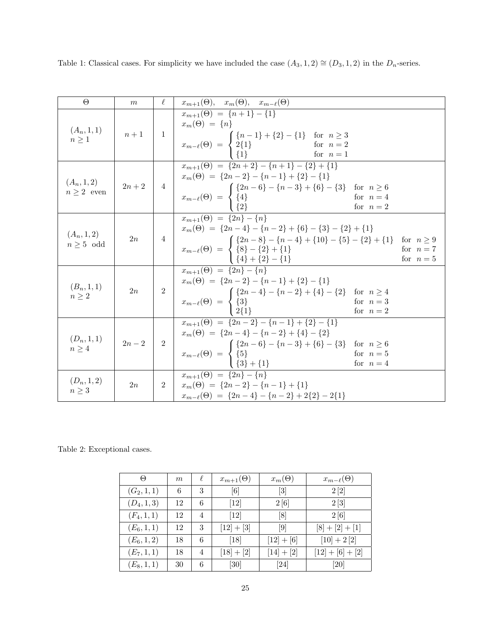Table 1: Classical cases. For simplicity we have included the case  $(A_3, 1, 2) \cong (D_3, 1, 2)$  in the  $D_n$ -series.

| $\Theta$                         | m          | $\ell$         | $x_{m+1}(\Theta)$ , $x_m(\Theta)$ , $x_{m-\ell}(\Theta)$                                                                                                                                                                                                                                                                                                                                           |
|----------------------------------|------------|----------------|----------------------------------------------------------------------------------------------------------------------------------------------------------------------------------------------------------------------------------------------------------------------------------------------------------------------------------------------------------------------------------------------------|
| $(A_n, 1, 1)$<br>$n \geq 1$      | $n+1$      |                | $x_{m+1}(\Theta) = \{n+1\} - \{1\}$<br>$x_m(\Theta) = \{n\}$<br>1<br>$x_{m-\ell}(\Theta) = \begin{cases} \{n-1\} + \{2\} - \{1\} & \text{for } n \geq 3 \\ 2\{1\} & \text{for } n = 2 \\ \{1\} & \text{for } n = 1 \end{cases}$                                                                                                                                                                    |
| $(A_n, 1, 2)$<br>$n \geq 2$ even | $2n+2$     |                | $x_{m+1}(\Theta) = \{2n+2\} - \{n+1\} - \{2\} + \{1\}$<br>$x_m(\Theta) = \{2n-2\} - \{n-1\} + \{2\} - \{1\}$<br>$\left \begin{array}{c} 4 \\   \end{array}\right  \left \begin{array}{c} x_{m-\ell}(\Theta) \end{array}\right  = \left\{\begin{array}{c} \{2n-6\} - \{n-3\} + \{6\} - \{3\} & \text{for}\;\; n\geq 6 \ \{4\} & \text{for}\;\; n=4 \ \{2\} & \text{for}\;\; n=2 \end{array}\right.$ |
| $(A_n, 1, 2)$<br>$n \geq 5$ odd  | 2n         | $\overline{4}$ | $x_{m+1}(\Theta) = \{2n\} - \{n\}$<br>$x_m(\Theta) = \{2n-4\} - \{n-2\} + \{6\} - \{3\} - \{2\} + \{1\}$<br>$x_{m-\ell}(\Theta) = \begin{cases} \{2n-8\} - \{n-4\} + \{10\} - \{5\} - \{2\} + \{1\} & \text{for } n \ge 9 \\ \{8\} - \{2\} + \{1\} & \text{for } n = 7 \\ \{4\} + \{2\} - \{1\} & \text{for } n = 5 \end{cases}$                                                                   |
| $(B_n, 1, 1)$<br>$n \geq 2$      | 2n         | $\,2$          | $\overline{x_{m+1}(\Theta)} = \{2n\} - \{n\}$<br>$x_m(\Theta) = \{2n-2\} - \{n-1\} + \{2\} - \{1\}$<br>$x_{m-\ell}(\Theta) = \begin{cases} \{2n-4\} - \{n-2\} + \{4\} - \{2\} & \text{for } n \ge 4 \\ \{3\} & \text{for } n = 3 \\ 2\{1\} & \text{for } n = 2 \end{cases}$<br>for $n=2$                                                                                                           |
| $(D_n, 1, 1)$<br>$n \geq 4$      | $2n-2$   2 |                | $x_{m+1}(\Theta) = \{2n-2\} - \{n-1\} + \{2\} - \{1\}$<br>$x_m(\Theta) = \{2n-4\} - \{n-2\} + \{4\} - \{2\}$<br>$x_{m-\ell}(\Theta) = \begin{cases} \{2n-6\} - \{n-3\} + \{6\} - \{3\} & \text{for } n \ge 6 \\ \{3\} + \{1\} & \text{for } n = 4 \end{cases}$                                                                                                                                     |
| $(D_n, 1, 2)$<br>$n\geq 3$       | 2n         | $\overline{2}$ | $x_{m+1}(\Theta) = \{2n\} - \{n\}$<br>$x_m(\Theta) = \{2n-2\} - \{n-1\} + \{1\}$<br>$x_{m-\ell}(\Theta) = \{2n-4\} - \{n-2\} + 2\{2\} - 2\{1\}$                                                                                                                                                                                                                                                    |

Table 2: Exceptional cases.

| Θ             | m  | ł.             | $x_{m+1}(\Theta)$            | $x_m(\Theta)$       | $x_{m-\ell}(\Theta)$ |
|---------------|----|----------------|------------------------------|---------------------|----------------------|
| $(G_2, 1, 1)$ | 6  | 3              | $\left\lceil 6 \right\rceil$ | $\lvert 3 \rvert$   | 2[2]                 |
| $(D_4, 1, 3)$ | 12 | 6              | [12]                         | 2[6]                | 2 3                  |
| $(F_4, 1, 1)$ | 12 | $\overline{4}$ | $[12]$                       | [8]                 | 2[6]                 |
| $(E_6, 1, 1)$ | 12 | 3              | $[12] + [3]$                 | $\lbrack 9 \rbrack$ | $[8] + [2] + [1]$    |
| $(E_6, 1, 2)$ | 18 | 6              | [18]                         | $[12] + [6]$        | $[10]+2[2]$          |
| $(E_7, 1, 1)$ | 18 | $\overline{4}$ | $[18] + [2]$                 | $[14] + [2]$        | $[12] + [6] + [2]$   |
| $(E_8, 1, 1)$ | 30 | 6              | [30]                         | [24]                | $\left 20\right $    |